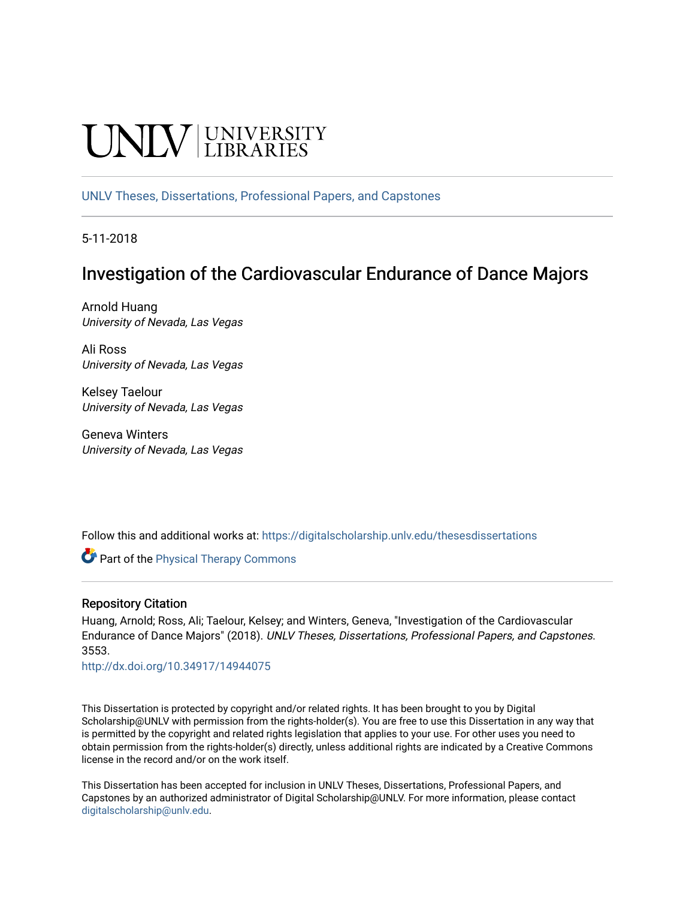# **UNIVERSITY**

[UNLV Theses, Dissertations, Professional Papers, and Capstones](https://digitalscholarship.unlv.edu/thesesdissertations)

5-11-2018

# Investigation of the Cardiovascular Endurance of Dance Majors

Arnold Huang University of Nevada, Las Vegas

Ali Ross University of Nevada, Las Vegas

Kelsey Taelour University of Nevada, Las Vegas

Geneva Winters University of Nevada, Las Vegas

Follow this and additional works at: [https://digitalscholarship.unlv.edu/thesesdissertations](https://digitalscholarship.unlv.edu/thesesdissertations?utm_source=digitalscholarship.unlv.edu%2Fthesesdissertations%2F3553&utm_medium=PDF&utm_campaign=PDFCoverPages)

**Part of the [Physical Therapy Commons](http://network.bepress.com/hgg/discipline/754?utm_source=digitalscholarship.unlv.edu%2Fthesesdissertations%2F3553&utm_medium=PDF&utm_campaign=PDFCoverPages)** 

## Repository Citation

Huang, Arnold; Ross, Ali; Taelour, Kelsey; and Winters, Geneva, "Investigation of the Cardiovascular Endurance of Dance Majors" (2018). UNLV Theses, Dissertations, Professional Papers, and Capstones. 3553.

<http://dx.doi.org/10.34917/14944075>

This Dissertation is protected by copyright and/or related rights. It has been brought to you by Digital Scholarship@UNLV with permission from the rights-holder(s). You are free to use this Dissertation in any way that is permitted by the copyright and related rights legislation that applies to your use. For other uses you need to obtain permission from the rights-holder(s) directly, unless additional rights are indicated by a Creative Commons license in the record and/or on the work itself.

This Dissertation has been accepted for inclusion in UNLV Theses, Dissertations, Professional Papers, and Capstones by an authorized administrator of Digital Scholarship@UNLV. For more information, please contact [digitalscholarship@unlv.edu](mailto:digitalscholarship@unlv.edu).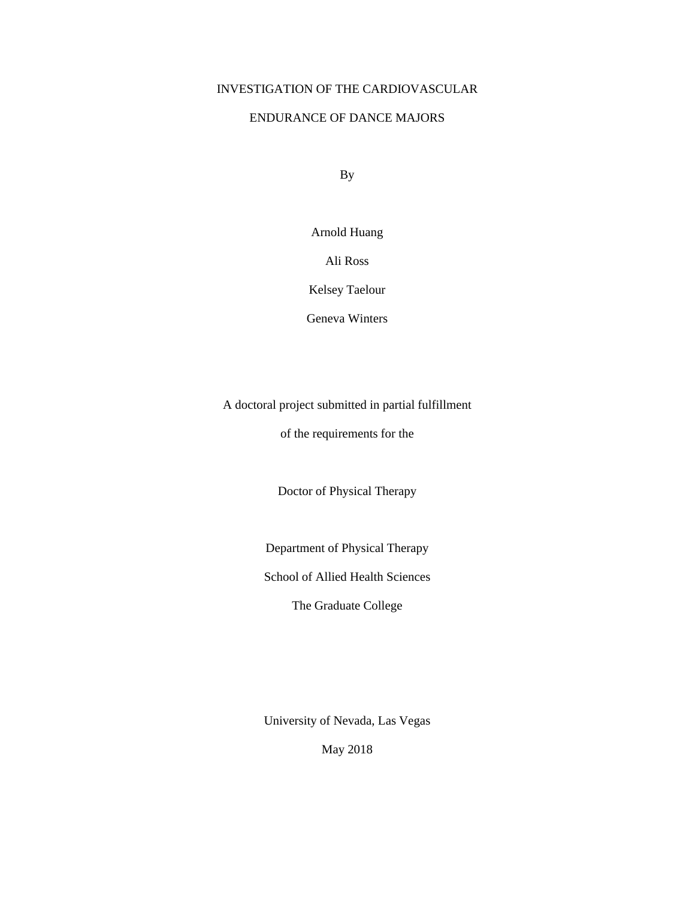## INVESTIGATION OF THE CARDIOVASCULAR

## ENDURANCE OF DANCE MAJORS

By

Arnold Huang

Ali Ross

Kelsey Taelour

Geneva Winters

A doctoral project submitted in partial fulfillment

of the requirements for the

Doctor of Physical Therapy

Department of Physical Therapy

School of Allied Health Sciences

The Graduate College

University of Nevada, Las Vegas

May 2018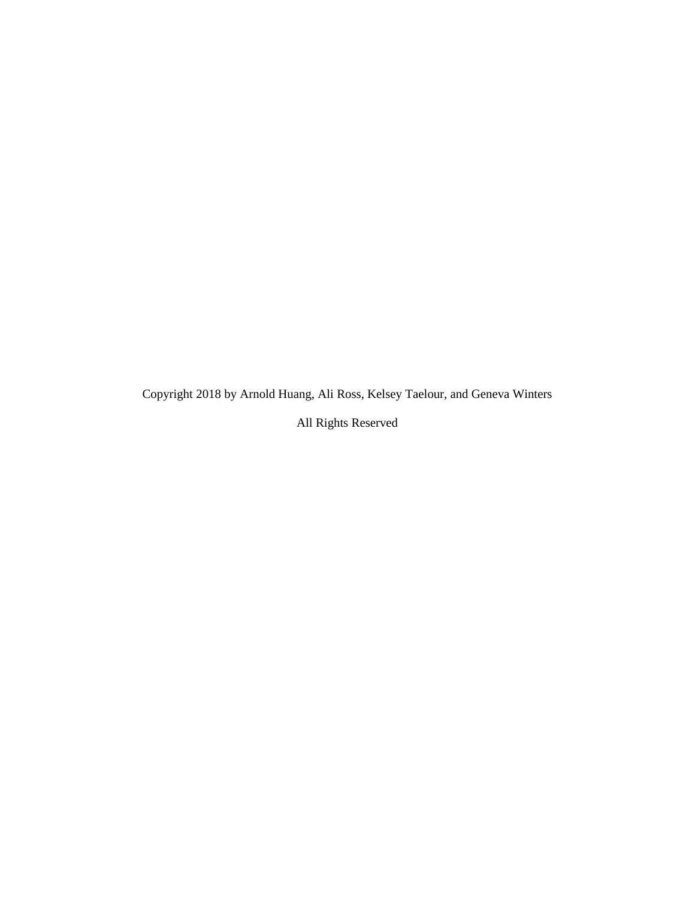Copyright 2018 by Arnold Huang, Ali Ross, Kelsey Taelour, and Geneva Winters

All Rights Reserved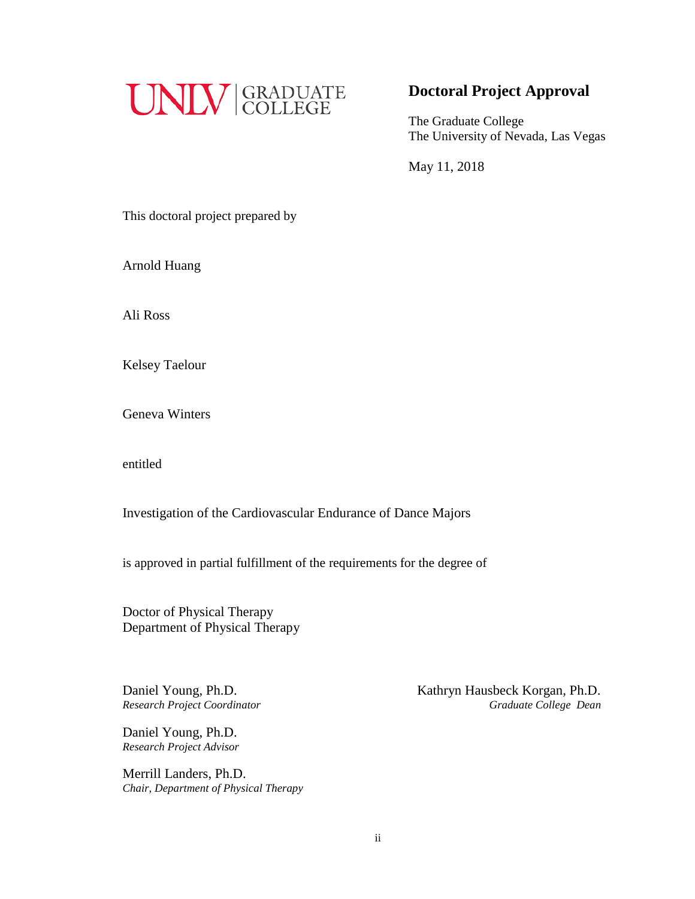

# **Doctoral Project Approval**

The Graduate College The University of Nevada, Las Vegas

May 11, 2018

This doctoral project prepared by

Arnold Huang

Ali Ross

Kelsey Taelour

Geneva Winters

entitled

Investigation of the Cardiovascular Endurance of Dance Majors

is approved in partial fulfillment of the requirements for the degree of

Doctor of Physical Therapy Department of Physical Therapy

Daniel Young, Ph.D. *Research Project Advisor*

Merrill Landers, Ph.D. *Chair, Department of Physical Therapy*

Daniel Young, Ph.D.<br> **Kathryn Hausbeck Korgan, Ph.D.** *Research Project Coordinator Graduate College Dean*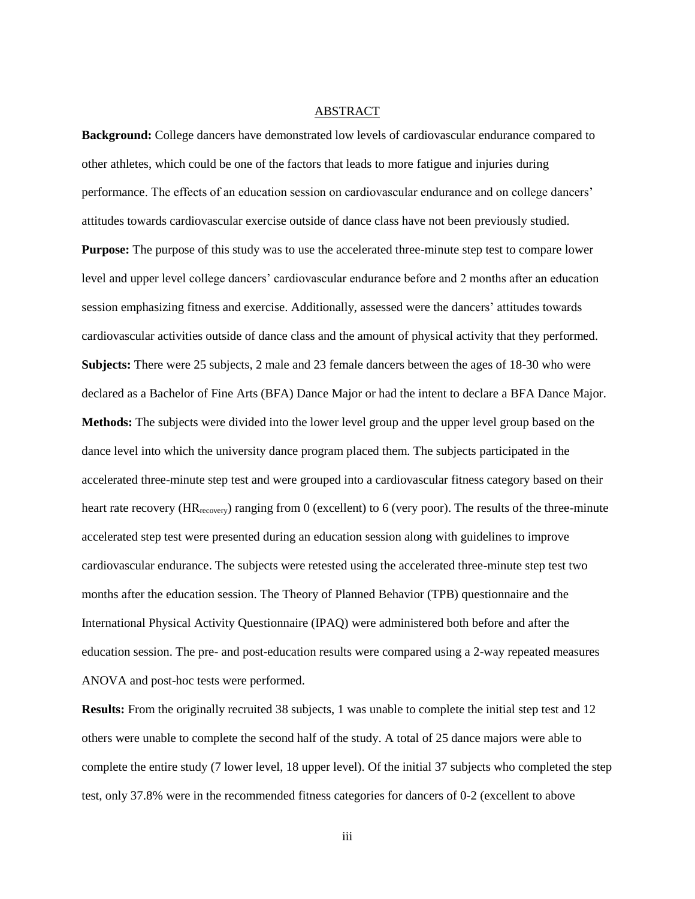#### ABSTRACT

**Background:** College dancers have demonstrated low levels of cardiovascular endurance compared to other athletes, which could be one of the factors that leads to more fatigue and injuries during performance. The effects of an education session on cardiovascular endurance and on college dancers' attitudes towards cardiovascular exercise outside of dance class have not been previously studied. **Purpose:** The purpose of this study was to use the accelerated three-minute step test to compare lower level and upper level college dancers' cardiovascular endurance before and 2 months after an education session emphasizing fitness and exercise. Additionally, assessed were the dancers' attitudes towards cardiovascular activities outside of dance class and the amount of physical activity that they performed. **Subjects:** There were 25 subjects, 2 male and 23 female dancers between the ages of 18-30 who were declared as a Bachelor of Fine Arts (BFA) Dance Major or had the intent to declare a BFA Dance Major. **Methods:** The subjects were divided into the lower level group and the upper level group based on the dance level into which the university dance program placed them. The subjects participated in the accelerated three-minute step test and were grouped into a cardiovascular fitness category based on their heart rate recovery (HR<sub>recovery</sub>) ranging from 0 (excellent) to 6 (very poor). The results of the three-minute accelerated step test were presented during an education session along with guidelines to improve cardiovascular endurance. The subjects were retested using the accelerated three-minute step test two months after the education session. The Theory of Planned Behavior (TPB) questionnaire and the International Physical Activity Questionnaire (IPAQ) were administered both before and after the education session. The pre- and post-education results were compared using a 2-way repeated measures ANOVA and post-hoc tests were performed.

**Results:** From the originally recruited 38 subjects, 1 was unable to complete the initial step test and 12 others were unable to complete the second half of the study. A total of 25 dance majors were able to complete the entire study (7 lower level, 18 upper level). Of the initial 37 subjects who completed the step test, only 37.8% were in the recommended fitness categories for dancers of 0-2 (excellent to above

iii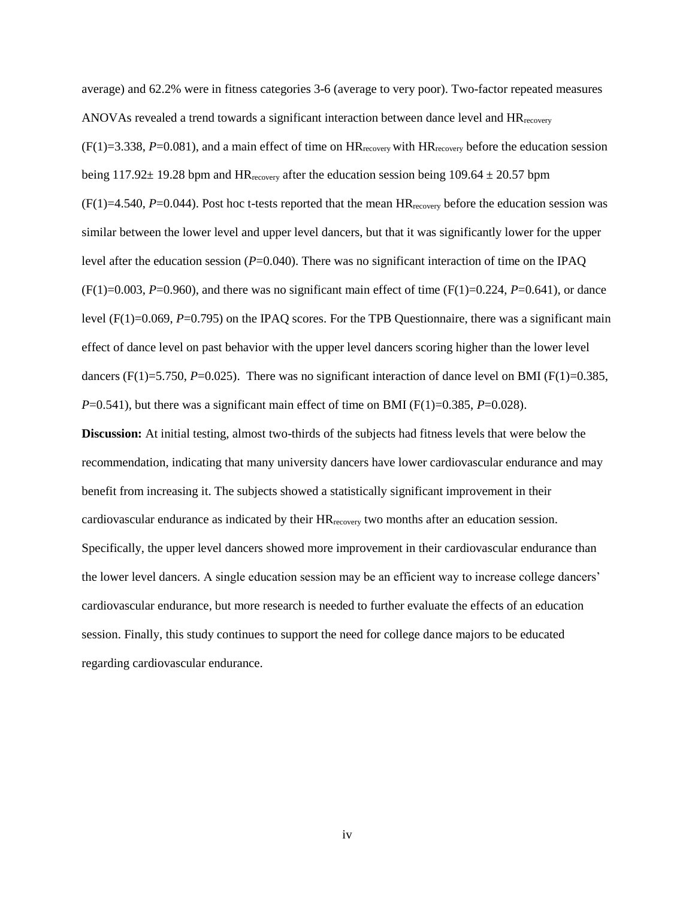average) and 62.2% were in fitness categories 3-6 (average to very poor). Two-factor repeated measures ANOVAs revealed a trend towards a significant interaction between dance level and  $HR_{\text{recovery}}$  $(F(1)=3.338, P=0.081)$ , and a main effect of time on  $HR_{recovery}$  with  $HR_{recovery}$  before the education session being 117.92 $\pm$  19.28 bpm and HR<sub>recovery</sub> after the education session being 109.64  $\pm$  20.57 bpm  $(F(1)=4.540, P=0.044)$ . Post hoc t-tests reported that the mean  $HR_{recovery}$  before the education session was similar between the lower level and upper level dancers, but that it was significantly lower for the upper level after the education session (*P*=0.040). There was no significant interaction of time on the IPAQ  $(F(1)=0.003, P=0.960)$ , and there was no significant main effect of time  $(F(1)=0.224, P=0.641)$ , or dance level (F(1)=0.069, *P*=0.795) on the IPAQ scores. For the TPB Questionnaire, there was a significant main effect of dance level on past behavior with the upper level dancers scoring higher than the lower level dancers (F(1)=5.750, *P*=0.025). There was no significant interaction of dance level on BMI (F(1)=0.385,  $P=0.541$ , but there was a significant main effect of time on BMI (F(1)=0.385, P=0.028).

**Discussion:** At initial testing, almost two-thirds of the subjects had fitness levels that were below the recommendation, indicating that many university dancers have lower cardiovascular endurance and may benefit from increasing it. The subjects showed a statistically significant improvement in their cardiovascular endurance as indicated by their HRrecovery two months after an education session. Specifically, the upper level dancers showed more improvement in their cardiovascular endurance than the lower level dancers. A single education session may be an efficient way to increase college dancers' cardiovascular endurance, but more research is needed to further evaluate the effects of an education session. Finally, this study continues to support the need for college dance majors to be educated regarding cardiovascular endurance.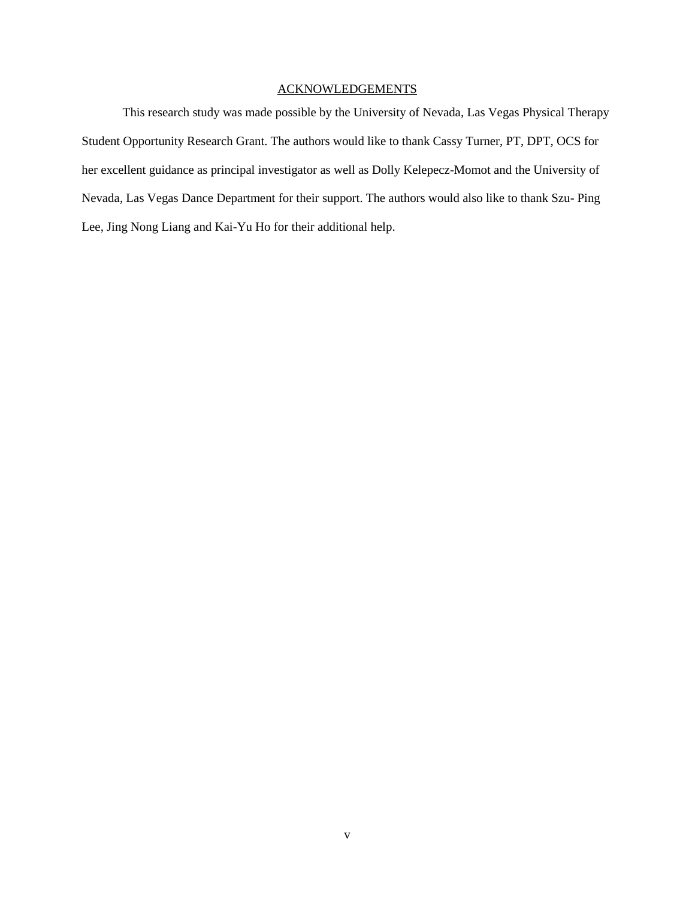## ACKNOWLEDGEMENTS

This research study was made possible by the University of Nevada, Las Vegas Physical Therapy Student Opportunity Research Grant. The authors would like to thank Cassy Turner, PT, DPT, OCS for her excellent guidance as principal investigator as well as Dolly Kelepecz-Momot and the University of Nevada, Las Vegas Dance Department for their support. The authors would also like to thank Szu- Ping Lee, Jing Nong Liang and Kai-Yu Ho for their additional help.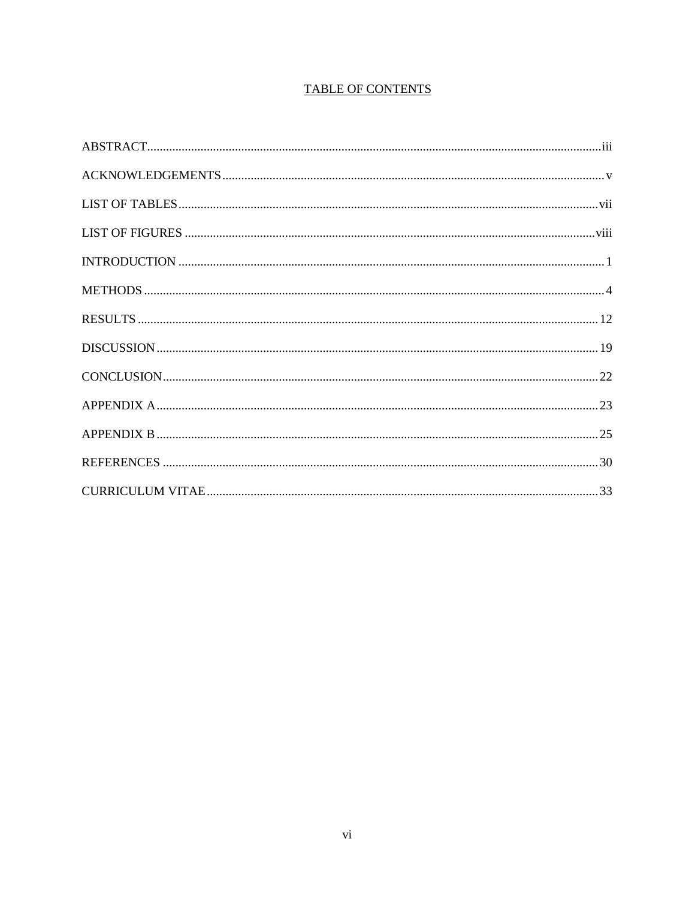# **TABLE OF CONTENTS**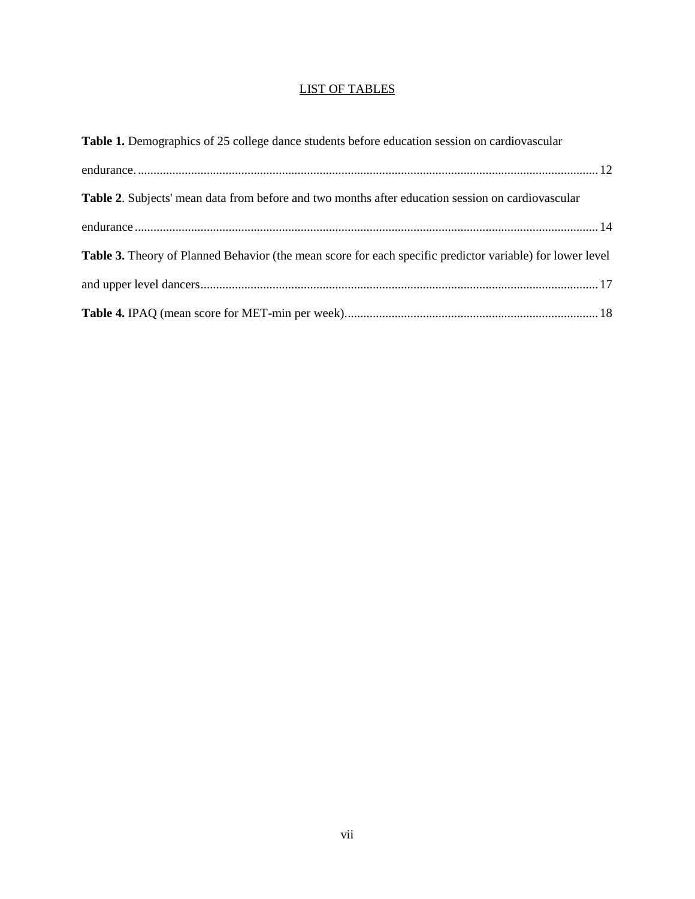## LIST OF TABLES

| Table 1. Demographics of 25 college dance students before education session on cardiovascular             |  |
|-----------------------------------------------------------------------------------------------------------|--|
|                                                                                                           |  |
| Table 2. Subjects' mean data from before and two months after education session on cardiovascular         |  |
|                                                                                                           |  |
| Table 3. Theory of Planned Behavior (the mean score for each specific predictor variable) for lower level |  |
|                                                                                                           |  |
|                                                                                                           |  |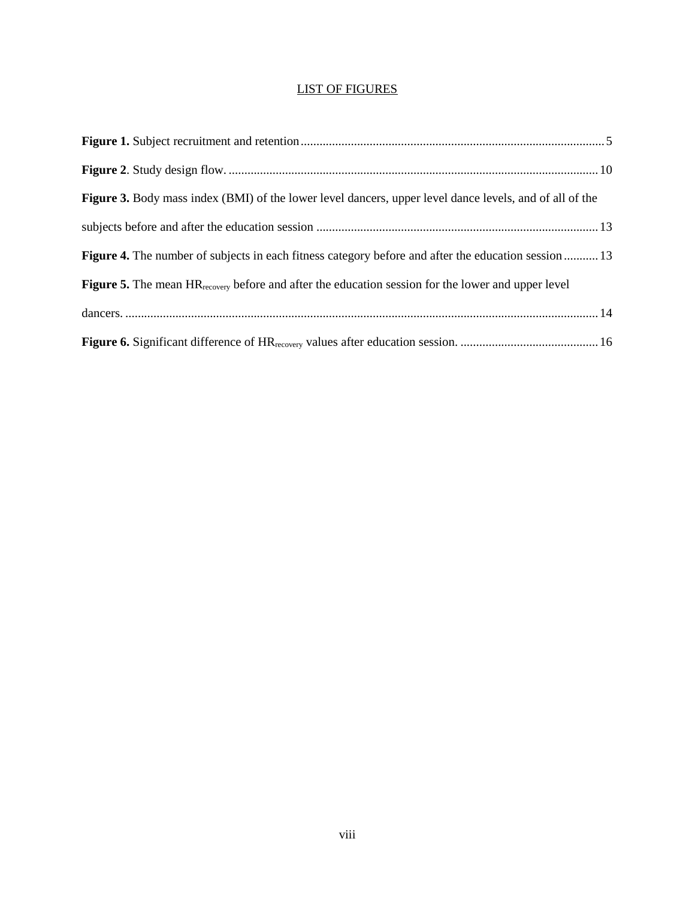# LIST OF FIGURES

| <b>Figure 3.</b> Body mass index (BMI) of the lower level dancers, upper level dance levels, and of all of the        |  |
|-----------------------------------------------------------------------------------------------------------------------|--|
|                                                                                                                       |  |
| <b>Figure 4.</b> The number of subjects in each fitness category before and after the education session  13           |  |
| <b>Figure 5.</b> The mean $HR_{\text{recovery}}$ before and after the education session for the lower and upper level |  |
|                                                                                                                       |  |
|                                                                                                                       |  |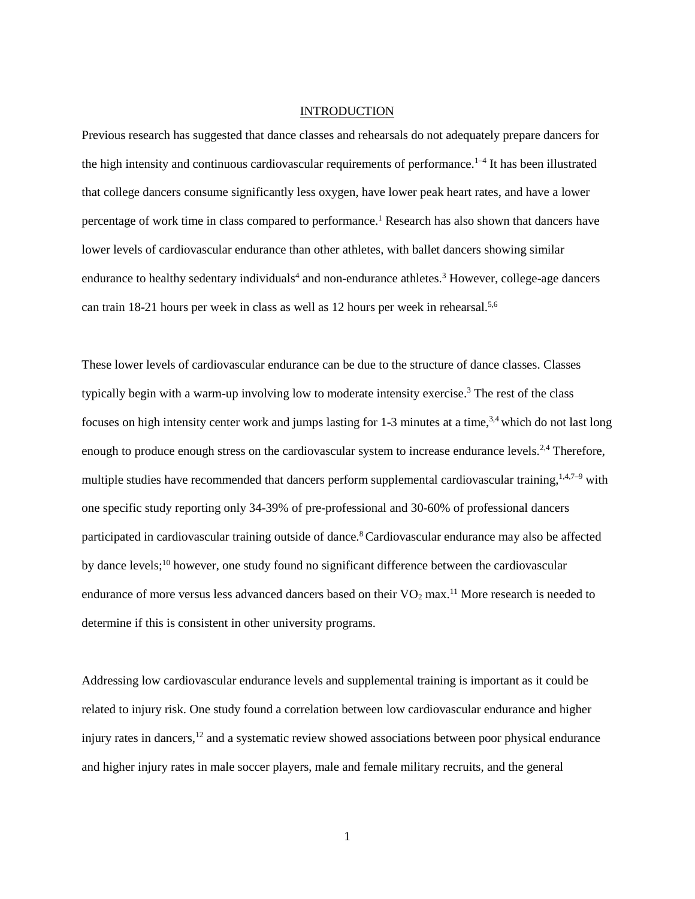## **INTRODUCTION**

Previous research has suggested that dance classes and rehearsals do not adequately prepare dancers for the high intensity and continuous cardiovascular requirements of performance.<sup>1-4</sup> It has been illustrated that college dancers consume significantly less oxygen, have lower peak heart rates, and have a lower percentage of work time in class compared to performance.<sup>1</sup> Research has also shown that dancers have lower levels of cardiovascular endurance than other athletes, with ballet dancers showing similar endurance to healthy sedentary individuals<sup>4</sup> and non-endurance athletes.<sup>3</sup> However, college-age dancers can train 18-21 hours per week in class as well as 12 hours per week in rehearsal.<sup>5,6</sup>

These lower levels of cardiovascular endurance can be due to the structure of dance classes. Classes typically begin with a warm-up involving low to moderate intensity exercise.<sup>3</sup> The rest of the class focuses on high intensity center work and jumps lasting for 1-3 minutes at a time,<sup>3,4</sup> which do not last long enough to produce enough stress on the cardiovascular system to increase endurance levels.<sup>2,4</sup> Therefore, multiple studies have recommended that dancers perform supplemental cardiovascular training,<sup>1,4,7–9</sup> with one specific study reporting only 34-39% of pre-professional and 30-60% of professional dancers participated in cardiovascular training outside of dance.<sup>8</sup> Cardiovascular endurance may also be affected by dance levels;<sup>10</sup> however, one study found no significant difference between the cardiovascular endurance of more versus less advanced dancers based on their  $VO<sub>2</sub>$  max.<sup>11</sup> More research is needed to determine if this is consistent in other university programs.

Addressing low cardiovascular endurance levels and supplemental training is important as it could be related to injury risk. One study found a correlation between low cardiovascular endurance and higher injury rates in dancers, $12$  and a systematic review showed associations between poor physical endurance and higher injury rates in male soccer players, male and female military recruits, and the general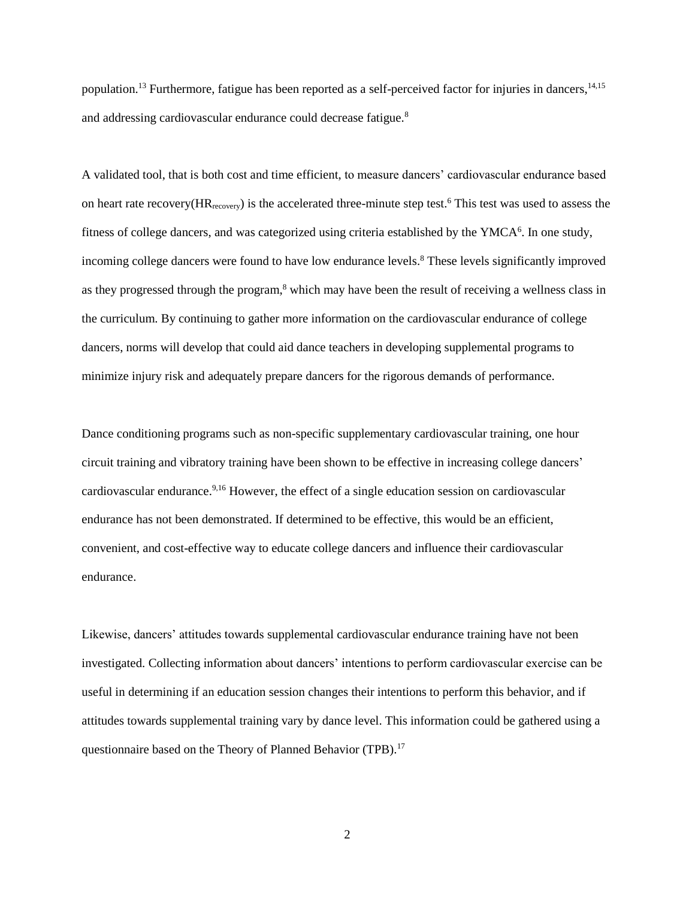population.<sup>13</sup> Furthermore, fatigue has been reported as a self-perceived factor for injuries in dancers,<sup>14,15</sup> and addressing cardiovascular endurance could decrease fatigue.<sup>8</sup>

A validated tool, that is both cost and time efficient, to measure dancers' cardiovascular endurance based on heart rate recovery ( $HR_{recovery}$ ) is the accelerated three-minute step test.<sup>6</sup> This test was used to assess the fitness of college dancers, and was categorized using criteria established by the YMCA<sup>6</sup>. In one study, incoming college dancers were found to have low endurance levels.<sup>8</sup> These levels significantly improved as they progressed through the program,<sup>8</sup> which may have been the result of receiving a wellness class in the curriculum. By continuing to gather more information on the cardiovascular endurance of college dancers, norms will develop that could aid dance teachers in developing supplemental programs to minimize injury risk and adequately prepare dancers for the rigorous demands of performance.

Dance conditioning programs such as non-specific supplementary cardiovascular training, one hour circuit training and vibratory training have been shown to be effective in increasing college dancers' cardiovascular endurance.<sup>9,16</sup> However, the effect of a single education session on cardiovascular endurance has not been demonstrated. If determined to be effective, this would be an efficient, convenient, and cost-effective way to educate college dancers and influence their cardiovascular endurance.

Likewise, dancers' attitudes towards supplemental cardiovascular endurance training have not been investigated. Collecting information about dancers' intentions to perform cardiovascular exercise can be useful in determining if an education session changes their intentions to perform this behavior, and if attitudes towards supplemental training vary by dance level. This information could be gathered using a questionnaire based on the Theory of Planned Behavior (TPB).<sup>17</sup>

2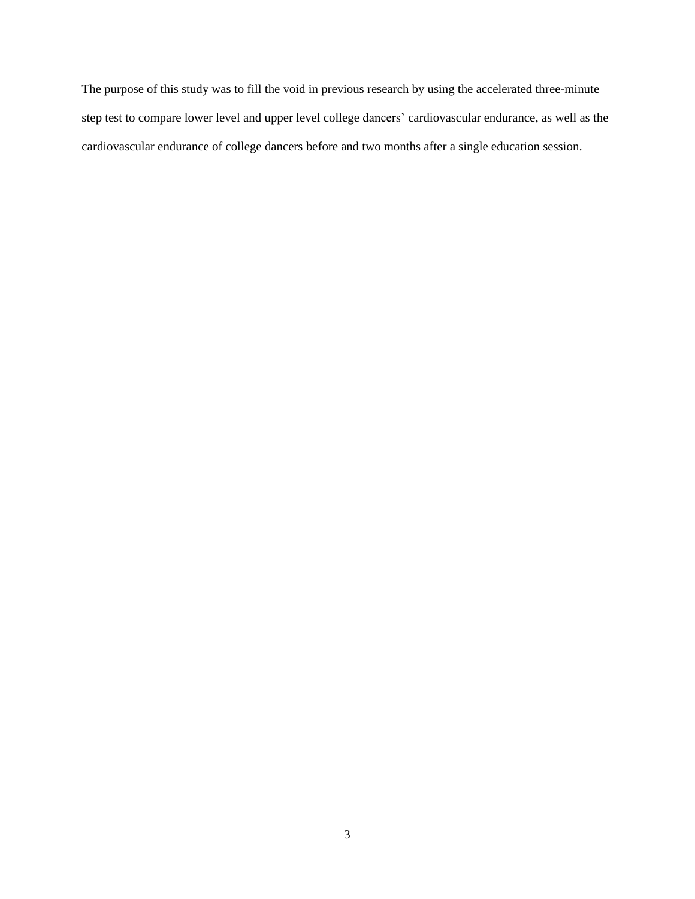The purpose of this study was to fill the void in previous research by using the accelerated three-minute step test to compare lower level and upper level college dancers' cardiovascular endurance, as well as the cardiovascular endurance of college dancers before and two months after a single education session.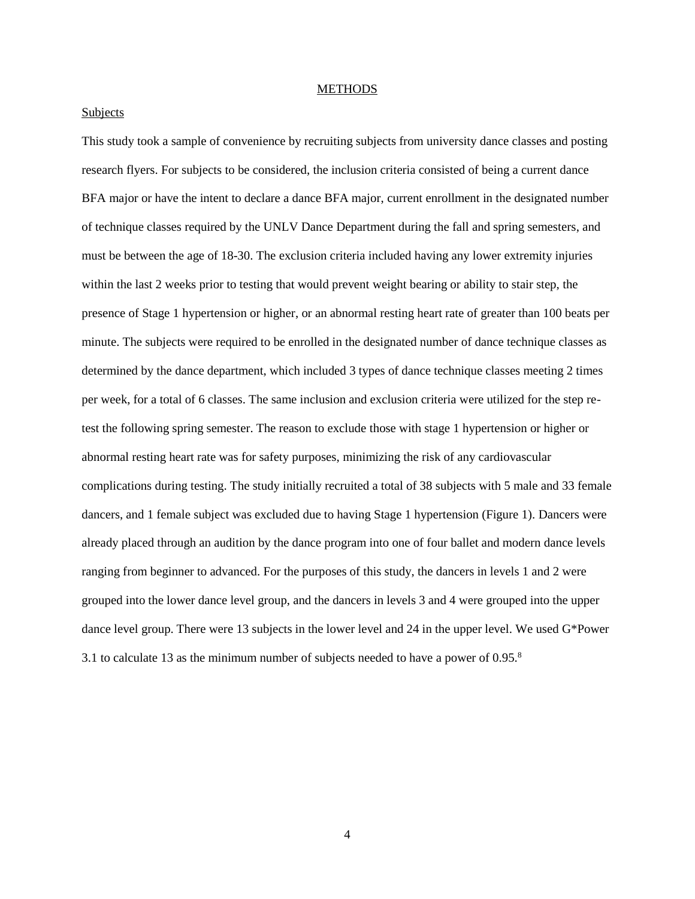#### **METHODS**

#### **Subjects**

This study took a sample of convenience by recruiting subjects from university dance classes and posting research flyers. For subjects to be considered, the inclusion criteria consisted of being a current dance BFA major or have the intent to declare a dance BFA major, current enrollment in the designated number of technique classes required by the UNLV Dance Department during the fall and spring semesters, and must be between the age of 18-30. The exclusion criteria included having any lower extremity injuries within the last 2 weeks prior to testing that would prevent weight bearing or ability to stair step, the presence of Stage 1 hypertension or higher, or an abnormal resting heart rate of greater than 100 beats per minute. The subjects were required to be enrolled in the designated number of dance technique classes as determined by the dance department, which included 3 types of dance technique classes meeting 2 times per week, for a total of 6 classes. The same inclusion and exclusion criteria were utilized for the step retest the following spring semester. The reason to exclude those with stage 1 hypertension or higher or abnormal resting heart rate was for safety purposes, minimizing the risk of any cardiovascular complications during testing. The study initially recruited a total of 38 subjects with 5 male and 33 female dancers, and 1 female subject was excluded due to having Stage 1 hypertension (Figure 1). Dancers were already placed through an audition by the dance program into one of four ballet and modern dance levels ranging from beginner to advanced. For the purposes of this study, the dancers in levels 1 and 2 were grouped into the lower dance level group, and the dancers in levels 3 and 4 were grouped into the upper dance level group. There were 13 subjects in the lower level and 24 in the upper level. We used G\*Power 3.1 to calculate 13 as the minimum number of subjects needed to have a power of 0.95.<sup>8</sup>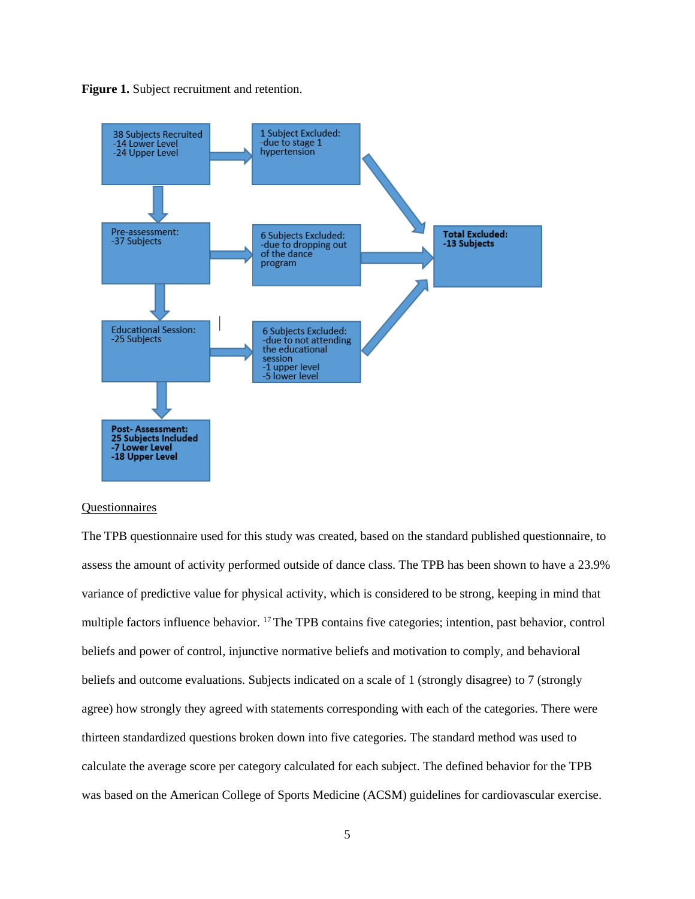**Figure 1.** Subject recruitment and retention.



#### Questionnaires

The TPB questionnaire used for this study was created, based on the standard published questionnaire, to assess the amount of activity performed outside of dance class. The TPB has been shown to have a 23.9% variance of predictive value for physical activity, which is considered to be strong, keeping in mind that multiple factors influence behavior. <sup>17</sup>The TPB contains five categories; intention, past behavior, control beliefs and power of control, injunctive normative beliefs and motivation to comply, and behavioral beliefs and outcome evaluations. Subjects indicated on a scale of 1 (strongly disagree) to 7 (strongly agree) how strongly they agreed with statements corresponding with each of the categories. There were thirteen standardized questions broken down into five categories. The standard method was used to calculate the average score per category calculated for each subject. The defined behavior for the TPB was based on the American College of Sports Medicine (ACSM) guidelines for cardiovascular exercise.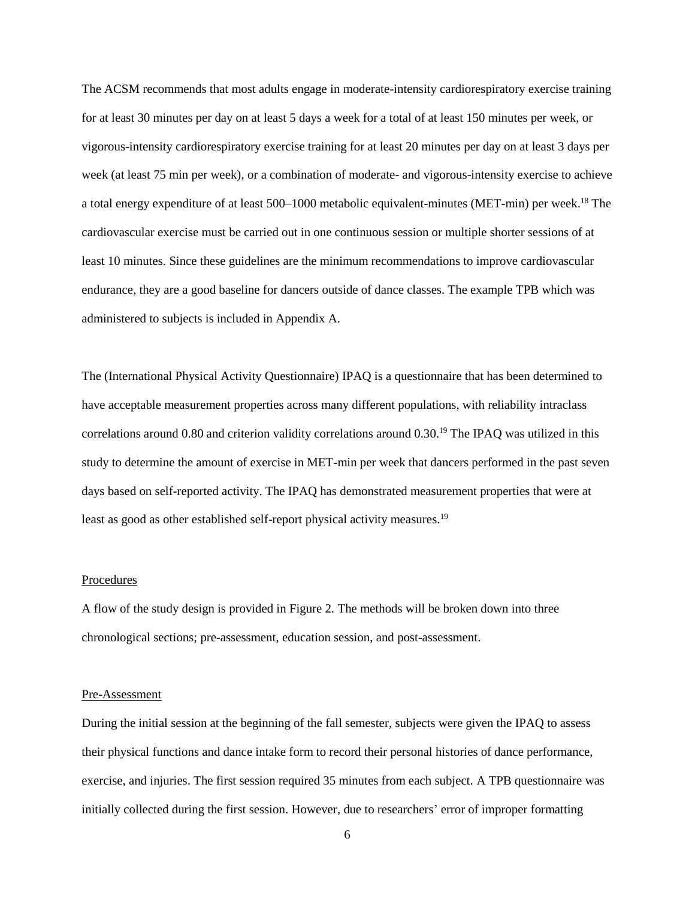The ACSM recommends that most adults engage in moderate-intensity cardiorespiratory exercise training for at least 30 minutes per day on at least 5 days a week for a total of at least 150 minutes per week, or vigorous-intensity cardiorespiratory exercise training for at least 20 minutes per day on at least 3 days per week (at least 75 min per week), or a combination of moderate- and vigorous-intensity exercise to achieve a total energy expenditure of at least 500–1000 metabolic equivalent-minutes (MET-min) per week. <sup>18</sup> The cardiovascular exercise must be carried out in one continuous session or multiple shorter sessions of at least 10 minutes. Since these guidelines are the minimum recommendations to improve cardiovascular endurance, they are a good baseline for dancers outside of dance classes. The example TPB which was administered to subjects is included in Appendix A.

The (International Physical Activity Questionnaire) IPAQ is a questionnaire that has been determined to have acceptable measurement properties across many different populations, with reliability intraclass correlations around 0.80 and criterion validity correlations around 0.30.<sup>19</sup> The IPAQ was utilized in this study to determine the amount of exercise in MET-min per week that dancers performed in the past seven days based on self-reported activity. The IPAQ has demonstrated measurement properties that were at least as good as other established self-report physical activity measures.<sup>19</sup>

## **Procedures**

A flow of the study design is provided in Figure 2. The methods will be broken down into three chronological sections; pre-assessment, education session, and post-assessment.

#### Pre-Assessment

During the initial session at the beginning of the fall semester, subjects were given the IPAQ to assess their physical functions and dance intake form to record their personal histories of dance performance, exercise, and injuries. The first session required 35 minutes from each subject. A TPB questionnaire was initially collected during the first session. However, due to researchers' error of improper formatting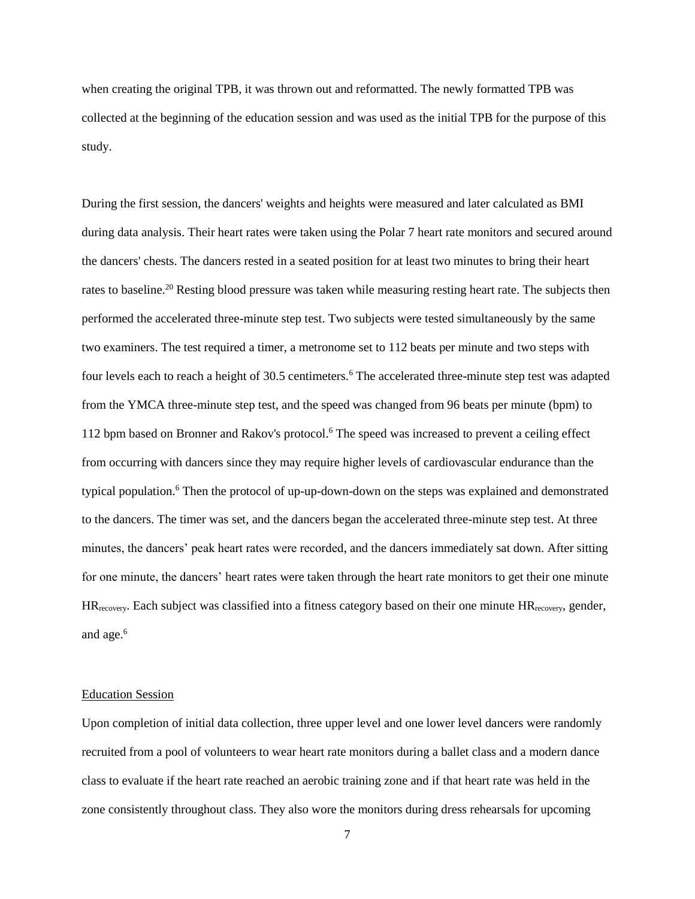when creating the original TPB, it was thrown out and reformatted. The newly formatted TPB was collected at the beginning of the education session and was used as the initial TPB for the purpose of this study.

During the first session, the dancers' weights and heights were measured and later calculated as BMI during data analysis. Their heart rates were taken using the Polar 7 heart rate monitors and secured around the dancers' chests. The dancers rested in a seated position for at least two minutes to bring their heart rates to baseline.<sup>20</sup> Resting blood pressure was taken while measuring resting heart rate. The subjects then performed the accelerated three-minute step test. Two subjects were tested simultaneously by the same two examiners. The test required a timer, a metronome set to 112 beats per minute and two steps with four levels each to reach a height of 30.5 centimeters.<sup>6</sup> The accelerated three-minute step test was adapted from the YMCA three-minute step test, and the speed was changed from 96 beats per minute (bpm) to 112 bpm based on Bronner and Rakov's protocol.<sup>6</sup> The speed was increased to prevent a ceiling effect from occurring with dancers since they may require higher levels of cardiovascular endurance than the typical population. <sup>6</sup> Then the protocol of up-up-down-down on the steps was explained and demonstrated to the dancers. The timer was set, and the dancers began the accelerated three-minute step test. At three minutes, the dancers' peak heart rates were recorded, and the dancers immediately sat down. After sitting for one minute, the dancers' heart rates were taken through the heart rate monitors to get their one minute  $HR_{recovery}$ . Each subject was classified into a fitness category based on their one minute  $HR_{recovery}$ , gender, and age. 6

#### Education Session

Upon completion of initial data collection, three upper level and one lower level dancers were randomly recruited from a pool of volunteers to wear heart rate monitors during a ballet class and a modern dance class to evaluate if the heart rate reached an aerobic training zone and if that heart rate was held in the zone consistently throughout class. They also wore the monitors during dress rehearsals for upcoming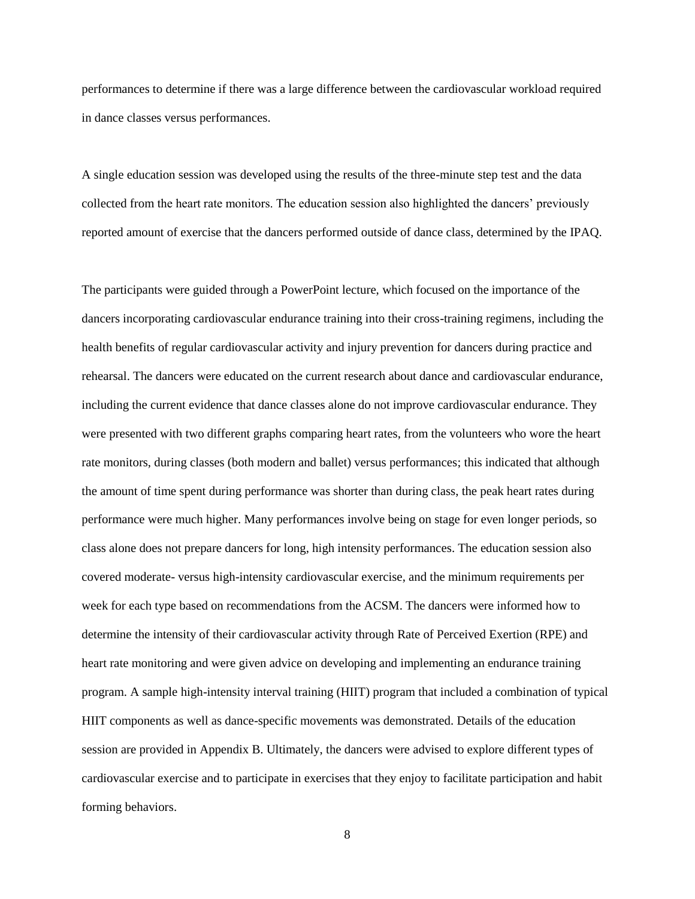performances to determine if there was a large difference between the cardiovascular workload required in dance classes versus performances.

A single education session was developed using the results of the three-minute step test and the data collected from the heart rate monitors. The education session also highlighted the dancers' previously reported amount of exercise that the dancers performed outside of dance class, determined by the IPAQ.

The participants were guided through a PowerPoint lecture, which focused on the importance of the dancers incorporating cardiovascular endurance training into their cross-training regimens, including the health benefits of regular cardiovascular activity and injury prevention for dancers during practice and rehearsal. The dancers were educated on the current research about dance and cardiovascular endurance, including the current evidence that dance classes alone do not improve cardiovascular endurance. They were presented with two different graphs comparing heart rates, from the volunteers who wore the heart rate monitors, during classes (both modern and ballet) versus performances; this indicated that although the amount of time spent during performance was shorter than during class, the peak heart rates during performance were much higher. Many performances involve being on stage for even longer periods, so class alone does not prepare dancers for long, high intensity performances. The education session also covered moderate- versus high-intensity cardiovascular exercise, and the minimum requirements per week for each type based on recommendations from the ACSM. The dancers were informed how to determine the intensity of their cardiovascular activity through Rate of Perceived Exertion (RPE) and heart rate monitoring and were given advice on developing and implementing an endurance training program. A sample high-intensity interval training (HIIT) program that included a combination of typical HIIT components as well as dance-specific movements was demonstrated. Details of the education session are provided in Appendix B. Ultimately, the dancers were advised to explore different types of cardiovascular exercise and to participate in exercises that they enjoy to facilitate participation and habit forming behaviors.

8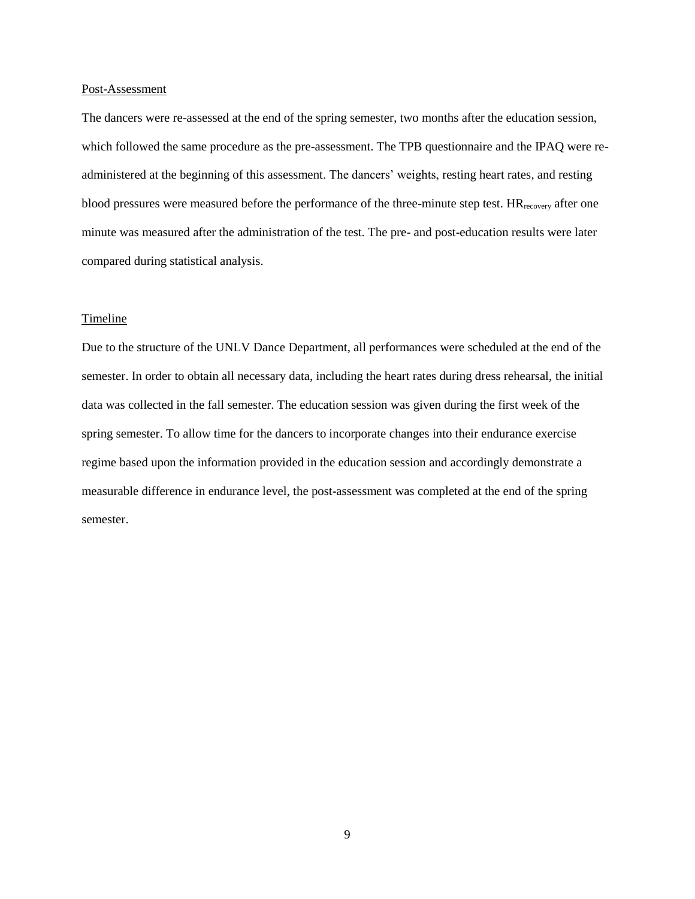#### Post-Assessment

The dancers were re-assessed at the end of the spring semester, two months after the education session, which followed the same procedure as the pre-assessment. The TPB questionnaire and the IPAQ were readministered at the beginning of this assessment. The dancers' weights, resting heart rates, and resting blood pressures were measured before the performance of the three-minute step test. HR<sub>recovery</sub> after one minute was measured after the administration of the test. The pre- and post-education results were later compared during statistical analysis.

## **Timeline**

Due to the structure of the UNLV Dance Department, all performances were scheduled at the end of the semester. In order to obtain all necessary data, including the heart rates during dress rehearsal, the initial data was collected in the fall semester. The education session was given during the first week of the spring semester. To allow time for the dancers to incorporate changes into their endurance exercise regime based upon the information provided in the education session and accordingly demonstrate a measurable difference in endurance level, the post-assessment was completed at the end of the spring semester.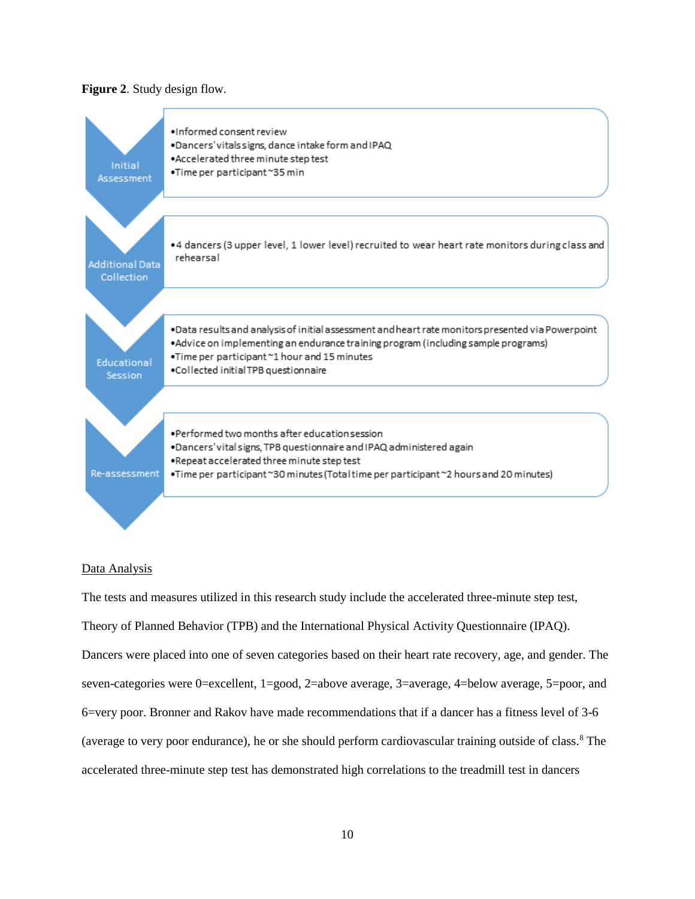#### **Figure 2**. Study design flow.



#### Data Analysis

The tests and measures utilized in this research study include the accelerated three-minute step test, Theory of Planned Behavior (TPB) and the International Physical Activity Questionnaire (IPAQ). Dancers were placed into one of seven categories based on their heart rate recovery, age, and gender. The seven-categories were 0=excellent, 1=good, 2=above average, 3=average, 4=below average, 5=poor, and 6=very poor. Bronner and Rakov have made recommendations that if a dancer has a fitness level of 3-6 (average to very poor endurance), he or she should perform cardiovascular training outside of class.<sup>8</sup> The accelerated three-minute step test has demonstrated high correlations to the treadmill test in dancers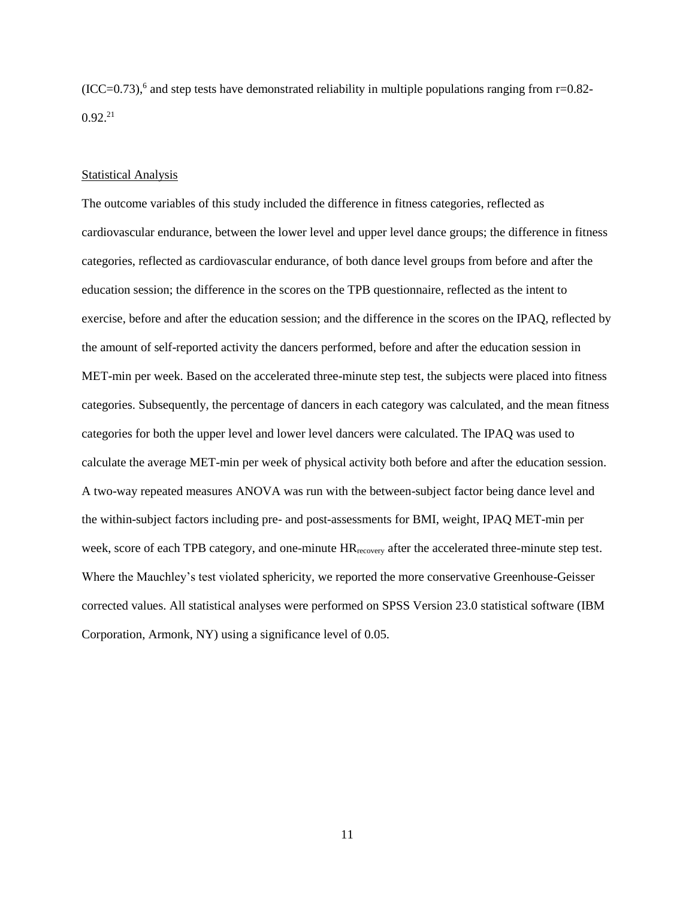$(ICC=0.73)$ ,<sup>6</sup> and step tests have demonstrated reliability in multiple populations ranging from  $r=0.82$ - $0.92^{21}$ 

#### Statistical Analysis

The outcome variables of this study included the difference in fitness categories, reflected as cardiovascular endurance, between the lower level and upper level dance groups; the difference in fitness categories, reflected as cardiovascular endurance, of both dance level groups from before and after the education session; the difference in the scores on the TPB questionnaire, reflected as the intent to exercise, before and after the education session; and the difference in the scores on the IPAQ, reflected by the amount of self-reported activity the dancers performed, before and after the education session in MET-min per week. Based on the accelerated three-minute step test, the subjects were placed into fitness categories. Subsequently, the percentage of dancers in each category was calculated, and the mean fitness categories for both the upper level and lower level dancers were calculated. The IPAQ was used to calculate the average MET-min per week of physical activity both before and after the education session. A two-way repeated measures ANOVA was run with the between-subject factor being dance level and the within-subject factors including pre- and post-assessments for BMI, weight, IPAQ MET-min per week, score of each TPB category, and one-minute  $HR_{recovery}$  after the accelerated three-minute step test. Where the Mauchley's test violated sphericity, we reported the more conservative Greenhouse-Geisser corrected values. All statistical analyses were performed on SPSS Version 23.0 statistical software (IBM Corporation, Armonk, NY) using a significance level of 0.05.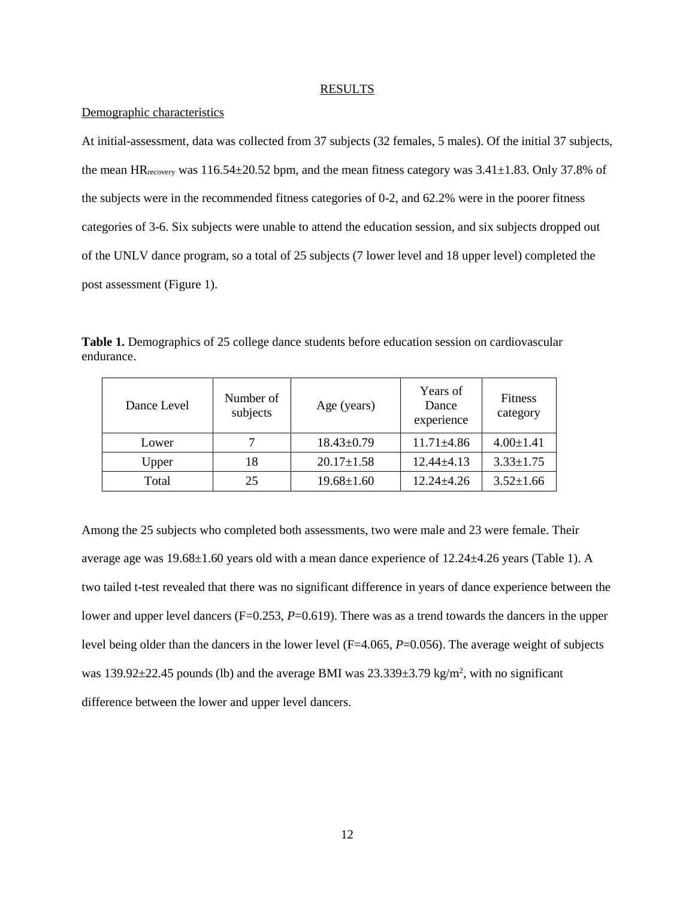#### **RESULTS**

## Demographic characteristics

At initial-assessment, data was collected from 37 subjects (32 females, 5 males). Of the initial 37 subjects, the mean  $HR_{\text{recovery}}$  was 116.54 $\pm$ 20.52 bpm, and the mean fitness category was 3.41 $\pm$ 1.83. Only 37.8% of the subjects were in the recommended fitness categories of 0-2, and 62.2% were in the poorer fitness categories of 3-6. Six subjects were unable to attend the education session, and six subjects dropped out of the UNLV dance program, so a total of 25 subjects (7 lower level and 18 upper level) completed the post assessment (Figure 1).

**Table 1.** Demographics of 25 college dance students before education session on cardiovascular endurance.

| Dance Level | Number of<br>subjects | Age (years)      | Years of<br>Dance<br>experience | <b>Fitness</b><br>category |
|-------------|-----------------------|------------------|---------------------------------|----------------------------|
| Lower       | 7                     | $18.43 \pm 0.79$ | $11.71 \pm 4.86$                | $4.00 \pm 1.41$            |
| Upper       | 18                    | $20.17 \pm 1.58$ | $12.44 + 4.13$                  | $3.33 \pm 1.75$            |
| Total       | 25                    | $19.68 \pm 1.60$ | $12.24 + 4.26$                  | $3.52 \pm 1.66$            |

Among the 25 subjects who completed both assessments, two were male and 23 were female. Their average age was 19.68±1.60 years old with a mean dance experience of 12.24±4.26 years (Table 1). A two tailed t-test revealed that there was no significant difference in years of dance experience between the lower and upper level dancers (F=0.253, P=0.619). There was as a trend towards the dancers in the upper level being older than the dancers in the lower level (F=4.065, *P*=0.056). The average weight of subjects was  $139.92 \pm 22.45$  pounds (lb) and the average BMI was  $23.339 \pm 3.79$  kg/m<sup>2</sup>, with no significant difference between the lower and upper level dancers.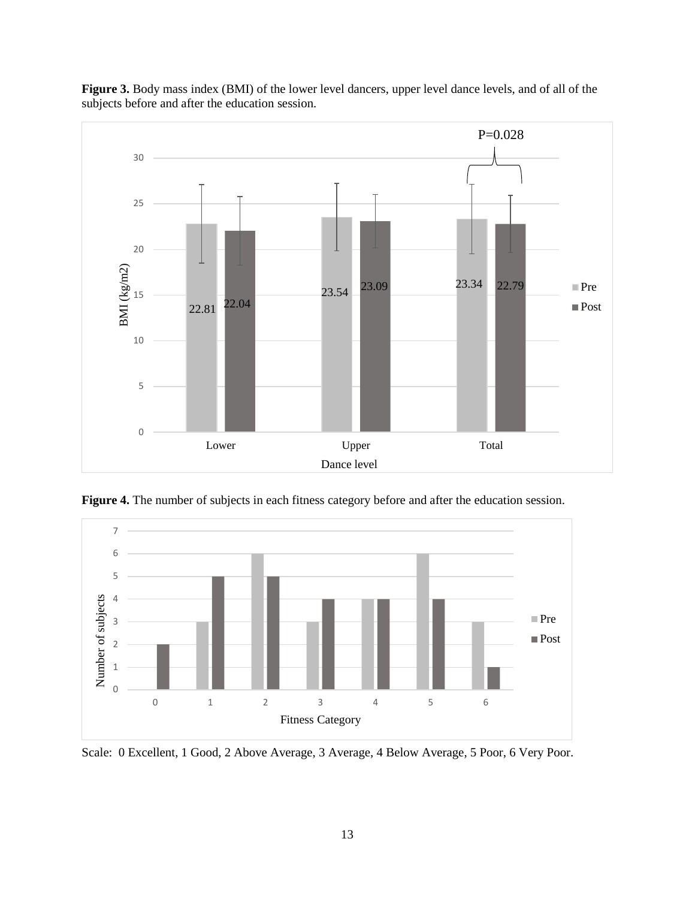

Figure 3. Body mass index (BMI) of the lower level dancers, upper level dance levels, and of all of the subjects before and after the education session.



**Figure 4.** The number of subjects in each fitness category before and after the education session.

Scale: 0 Excellent, 1 Good, 2 Above Average, 3 Average, 4 Below Average, 5 Poor, 6 Very Poor.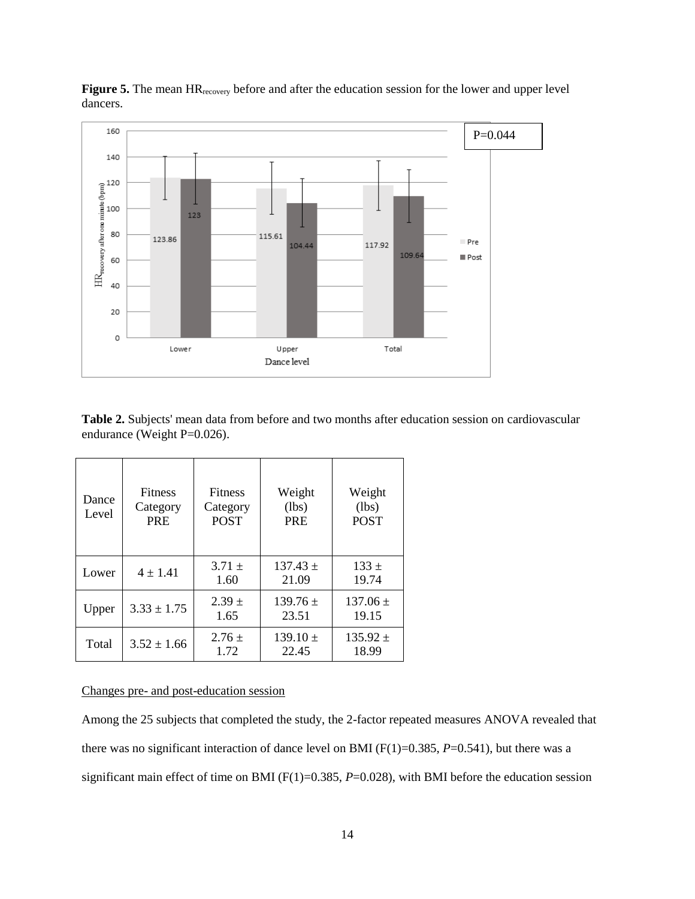

**Figure 5.** The mean HR<sub>recovery</sub> before and after the education session for the lower and upper level dancers.

**Table 2.** Subjects' mean data from before and two months after education session on cardiovascular endurance (Weight P=0.026).

| Dance<br>Level | <b>Fitness</b><br>Category<br><b>PRE</b> | <b>Fitness</b><br>Category<br><b>POST</b> | Weight<br>(lbs)<br><b>PRE</b> | Weight<br>(lbs)<br><b>POST</b> |
|----------------|------------------------------------------|-------------------------------------------|-------------------------------|--------------------------------|
| Lower          | $4 \pm 1.41$                             | $3.71 +$<br>1.60                          | $137.43 \pm$<br>21.09         | $133 \pm$<br>19.74             |
| Upper          | $3.33 \pm 1.75$                          | $2.39 +$<br>1.65                          | $139.76 \pm$<br>23.51         | $137.06 \pm$<br>19.15          |
| Total          | $3.52 \pm 1.66$                          | $2.76 \pm$<br>1.72                        | $139.10 \pm$<br>22.45         | $135.92 \pm$<br>18.99          |

## Changes pre- and post-education session

Among the 25 subjects that completed the study, the 2-factor repeated measures ANOVA revealed that there was no significant interaction of dance level on BMI (F(1)=0.385, *P*=0.541), but there was a significant main effect of time on BMI (F(1)=0.385, *P*=0.028), with BMI before the education session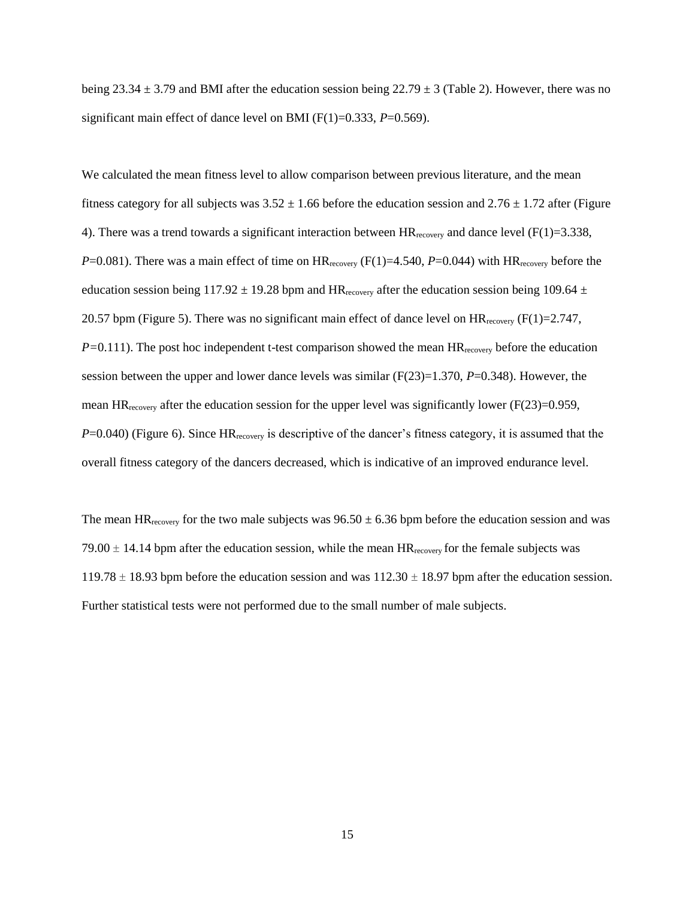being 23.34  $\pm$  3.79 and BMI after the education session being 22.79  $\pm$  3 (Table 2). However, there was no significant main effect of dance level on BMI (F(1)=0.333, *P*=0.569).

We calculated the mean fitness level to allow comparison between previous literature, and the mean fitness category for all subjects was  $3.52 \pm 1.66$  before the education session and  $2.76 \pm 1.72$  after (Figure 4). There was a trend towards a significant interaction between  $HR_{recovery}$  and dance level ( $F(1)=3.338$ , *P*=0.081). There was a main effect of time on  $HR_{recovery}$  ( $F(1)=4.540$ ,  $P=0.044$ ) with  $HR_{recovery}$  before the education session being  $117.92 \pm 19.28$  bpm and HR<sub>recovery</sub> after the education session being 109.64  $\pm$ 20.57 bpm (Figure 5). There was no significant main effect of dance level on  $HR_{recovery}$  (F(1)=2.747, *P*=0.111). The post hoc independent t-test comparison showed the mean HR<sub>recovery</sub> before the education session between the upper and lower dance levels was similar (F(23)=1.370, *P*=0.348). However, the mean HR<sub>recovery</sub> after the education session for the upper level was significantly lower (F(23)=0.959, *P*=0.040) (Figure 6). Since HR<sub>recovery</sub> is descriptive of the dancer's fitness category, it is assumed that the overall fitness category of the dancers decreased, which is indicative of an improved endurance level.

The mean HR<sub>recovery</sub> for the two male subjects was  $96.50 \pm 6.36$  bpm before the education session and was 79.00  $\pm$  14.14 bpm after the education session, while the mean HR<sub>recovery</sub> for the female subjects was  $119.78 \pm 18.93$  bpm before the education session and was  $112.30 \pm 18.97$  bpm after the education session. Further statistical tests were not performed due to the small number of male subjects.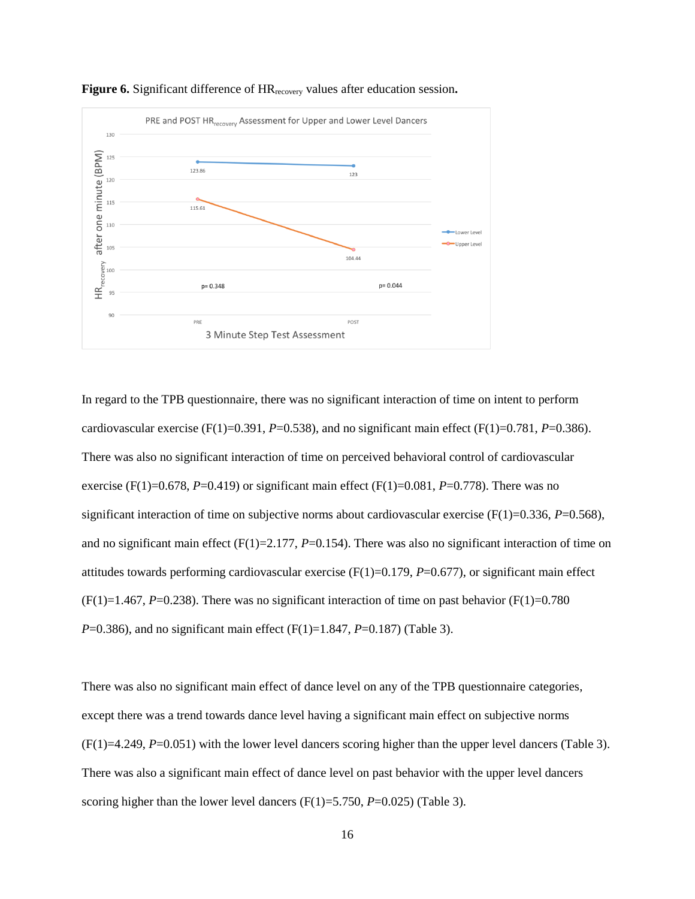

**Figure 6.** Significant difference of HRrecovery values after education session**.** 

In regard to the TPB questionnaire, there was no significant interaction of time on intent to perform cardiovascular exercise (F(1)=0.391, *P*=0.538), and no significant main effect (F(1)=0.781, *P*=0.386). There was also no significant interaction of time on perceived behavioral control of cardiovascular exercise (F(1)=0.678, *P*=0.419) or significant main effect (F(1)=0.081, *P*=0.778). There was no significant interaction of time on subjective norms about cardiovascular exercise  $(F(1)=0.336, P=0.568)$ , and no significant main effect (F(1)=2.177, *P*=0.154). There was also no significant interaction of time on attitudes towards performing cardiovascular exercise  $(F(1)=0.179, P=0.677)$ , or significant main effect  $(F(1)=1.467, P=0.238)$ . There was no significant interaction of time on past behavior  $(F(1)=0.780)$ *P*=0.386), and no significant main effect (F(1)=1.847, *P*=0.187) (Table 3).

There was also no significant main effect of dance level on any of the TPB questionnaire categories, except there was a trend towards dance level having a significant main effect on subjective norms  $(F(1)=4.249, P=0.051)$  with the lower level dancers scoring higher than the upper level dancers (Table 3). There was also a significant main effect of dance level on past behavior with the upper level dancers scoring higher than the lower level dancers  $(F(1)=5.750, P=0.025)$  (Table 3).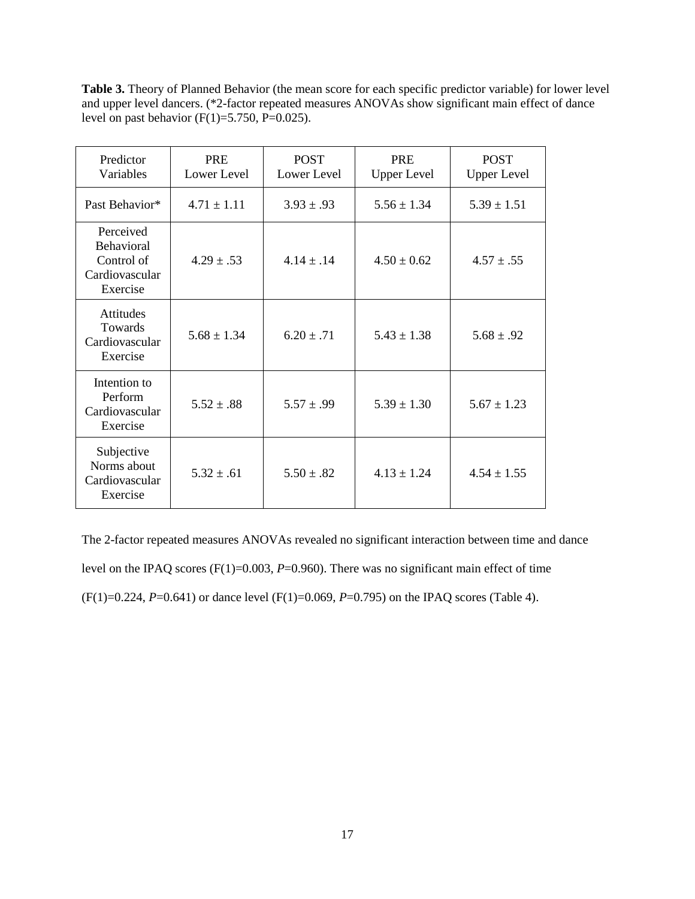**Table 3.** Theory of Planned Behavior (the mean score for each specific predictor variable) for lower level and upper level dancers. (\*2-factor repeated measures ANOVAs show significant main effect of dance level on past behavior (F(1)=5.750, P=0.025).

| Predictor<br>Variables                                                     | <b>PRE</b><br>Lower Level | <b>POST</b><br>Lower Level | <b>PRE</b><br><b>Upper Level</b> | <b>POST</b><br><b>Upper Level</b> |
|----------------------------------------------------------------------------|---------------------------|----------------------------|----------------------------------|-----------------------------------|
| Past Behavior*                                                             | $4.71 \pm 1.11$           | $3.93 \pm .93$             | $5.56 \pm 1.34$                  | $5.39 \pm 1.51$                   |
| Perceived<br><b>Behavioral</b><br>Control of<br>Cardiovascular<br>Exercise | $4.29 \pm .53$            | $4.14 \pm .14$             | $4.50 \pm 0.62$                  | $4.57 \pm .55$                    |
| <b>Attitudes</b><br>Towards<br>Cardiovascular<br>Exercise                  | $5.68 \pm 1.34$           | $6.20 \pm .71$             | $5.43 \pm 1.38$                  | $5.68 \pm .92$                    |
| Intention to<br>Perform<br>Cardiovascular<br>Exercise                      | $5.52 \pm .88$            | $5.57 \pm .99$             | $5.39 \pm 1.30$                  | $5.67 \pm 1.23$                   |
| Subjective<br>Norms about<br>Cardiovascular<br>Exercise                    | $5.32 \pm .61$            | $5.50 \pm .82$             | $4.13 \pm 1.24$                  | $4.54 \pm 1.55$                   |

The 2-factor repeated measures ANOVAs revealed no significant interaction between time and dance level on the IPAQ scores (F(1)=0.003, *P*=0.960). There was no significant main effect of time (F(1)=0.224, *P*=0.641) or dance level (F(1)=0.069, *P*=0.795) on the IPAQ scores (Table 4).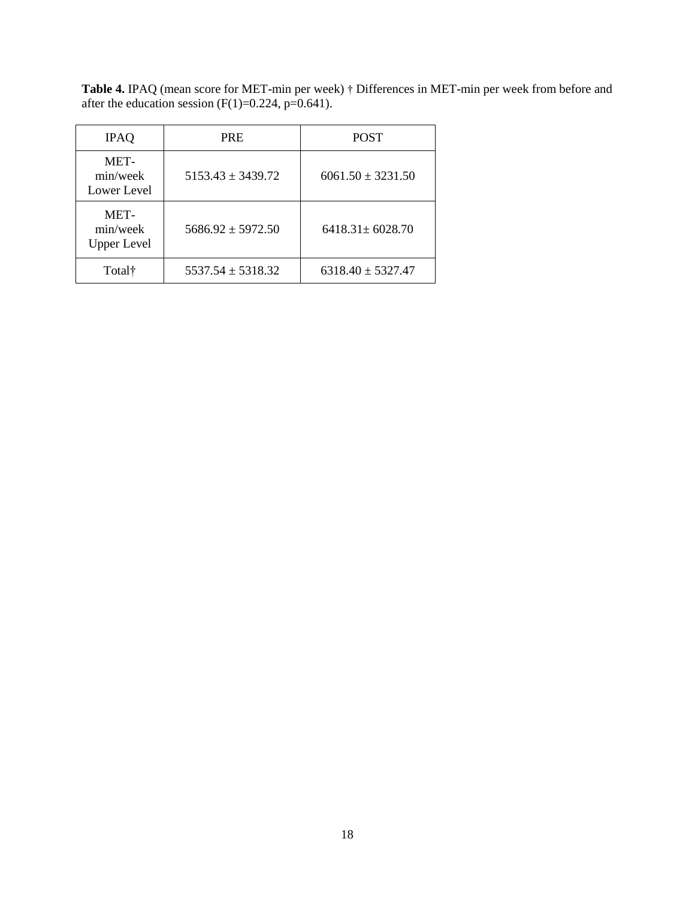**Table 4.** IPAQ (mean score for MET-min per week) † Differences in MET-min per week from before and after the education session  $(F(1)=0.224, p=0.641)$ .

| <b>IPAQ</b>                            | <b>PRE</b>            | <b>POST</b>           |
|----------------------------------------|-----------------------|-----------------------|
| MET-<br>min/week<br>Lower Level        | $5153.43 \pm 3439.72$ | $6061.50 \pm 3231.50$ |
| MET-<br>min/week<br><b>Upper Level</b> | $5686.92 \pm 5972.50$ | $6418.31 \pm 6028.70$ |
| Total†                                 | $5537.54 \pm 5318.32$ | $6318.40 \pm 5327.47$ |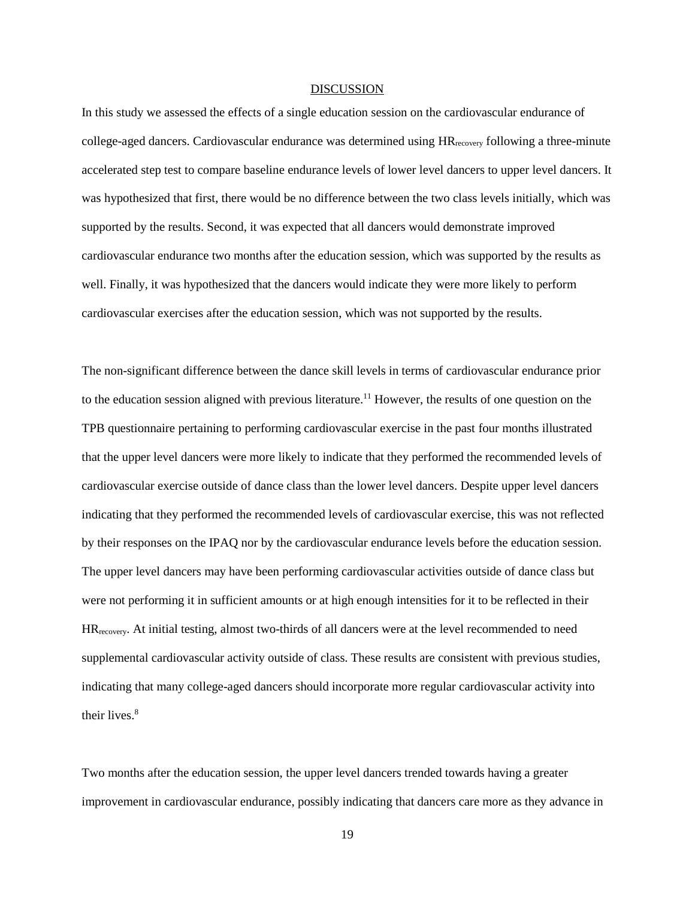## DISCUSSION

In this study we assessed the effects of a single education session on the cardiovascular endurance of college-aged dancers. Cardiovascular endurance was determined using HR<sub>recovery</sub> following a three-minute accelerated step test to compare baseline endurance levels of lower level dancers to upper level dancers. It was hypothesized that first, there would be no difference between the two class levels initially, which was supported by the results. Second, it was expected that all dancers would demonstrate improved cardiovascular endurance two months after the education session, which was supported by the results as well. Finally, it was hypothesized that the dancers would indicate they were more likely to perform cardiovascular exercises after the education session, which was not supported by the results.

The non-significant difference between the dance skill levels in terms of cardiovascular endurance prior to the education session aligned with previous literature. <sup>11</sup> However, the results of one question on the TPB questionnaire pertaining to performing cardiovascular exercise in the past four months illustrated that the upper level dancers were more likely to indicate that they performed the recommended levels of cardiovascular exercise outside of dance class than the lower level dancers. Despite upper level dancers indicating that they performed the recommended levels of cardiovascular exercise, this was not reflected by their responses on the IPAQ nor by the cardiovascular endurance levels before the education session. The upper level dancers may have been performing cardiovascular activities outside of dance class but were not performing it in sufficient amounts or at high enough intensities for it to be reflected in their HRrecovery. At initial testing, almost two-thirds of all dancers were at the level recommended to need supplemental cardiovascular activity outside of class. These results are consistent with previous studies, indicating that many college-aged dancers should incorporate more regular cardiovascular activity into their lives.<sup>8</sup>

Two months after the education session, the upper level dancers trended towards having a greater improvement in cardiovascular endurance, possibly indicating that dancers care more as they advance in

19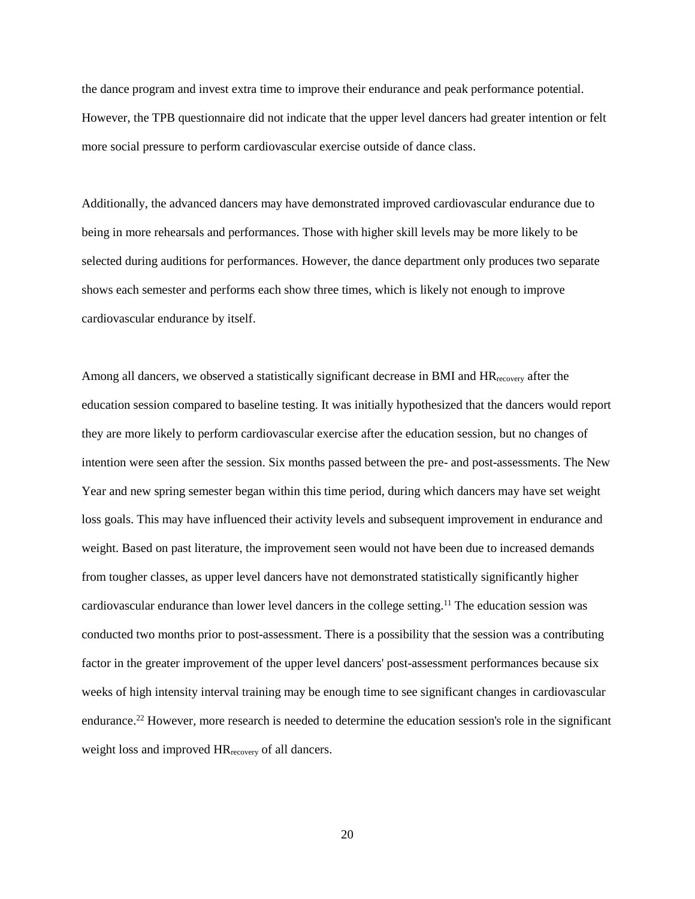the dance program and invest extra time to improve their endurance and peak performance potential. However, the TPB questionnaire did not indicate that the upper level dancers had greater intention or felt more social pressure to perform cardiovascular exercise outside of dance class.

Additionally, the advanced dancers may have demonstrated improved cardiovascular endurance due to being in more rehearsals and performances. Those with higher skill levels may be more likely to be selected during auditions for performances. However, the dance department only produces two separate shows each semester and performs each show three times, which is likely not enough to improve cardiovascular endurance by itself.

Among all dancers, we observed a statistically significant decrease in BMI and  $HR_{\text{recovery}}$  after the education session compared to baseline testing. It was initially hypothesized that the dancers would report they are more likely to perform cardiovascular exercise after the education session, but no changes of intention were seen after the session. Six months passed between the pre- and post-assessments. The New Year and new spring semester began within this time period, during which dancers may have set weight loss goals. This may have influenced their activity levels and subsequent improvement in endurance and weight. Based on past literature, the improvement seen would not have been due to increased demands from tougher classes, as upper level dancers have not demonstrated statistically significantly higher cardiovascular endurance than lower level dancers in the college setting. <sup>11</sup> The education session was conducted two months prior to post-assessment. There is a possibility that the session was a contributing factor in the greater improvement of the upper level dancers' post-assessment performances because six weeks of high intensity interval training may be enough time to see significant changes in cardiovascular endurance.<sup>22</sup> However, more research is needed to determine the education session's role in the significant weight loss and improved HRrecovery of all dancers.

20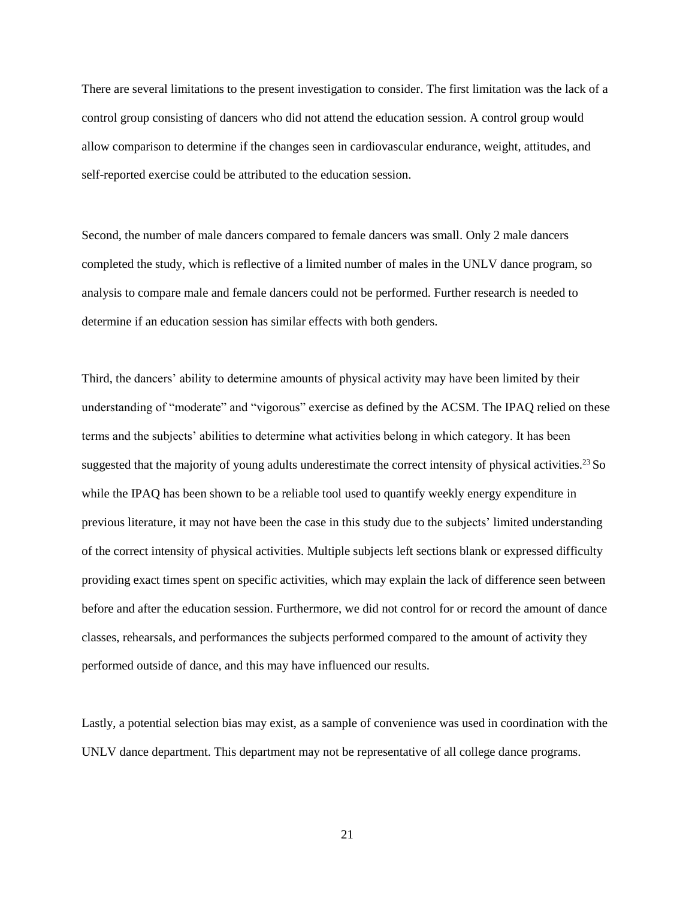There are several limitations to the present investigation to consider. The first limitation was the lack of a control group consisting of dancers who did not attend the education session. A control group would allow comparison to determine if the changes seen in cardiovascular endurance, weight, attitudes, and self-reported exercise could be attributed to the education session.

Second, the number of male dancers compared to female dancers was small. Only 2 male dancers completed the study, which is reflective of a limited number of males in the UNLV dance program, so analysis to compare male and female dancers could not be performed. Further research is needed to determine if an education session has similar effects with both genders.

Third, the dancers' ability to determine amounts of physical activity may have been limited by their understanding of "moderate" and "vigorous" exercise as defined by the ACSM. The IPAQ relied on these terms and the subjects' abilities to determine what activities belong in which category. It has been suggested that the majority of young adults underestimate the correct intensity of physical activities.<sup>23</sup> So while the IPAQ has been shown to be a reliable tool used to quantify weekly energy expenditure in previous literature, it may not have been the case in this study due to the subjects' limited understanding of the correct intensity of physical activities. Multiple subjects left sections blank or expressed difficulty providing exact times spent on specific activities, which may explain the lack of difference seen between before and after the education session. Furthermore, we did not control for or record the amount of dance classes, rehearsals, and performances the subjects performed compared to the amount of activity they performed outside of dance, and this may have influenced our results.

Lastly, a potential selection bias may exist, as a sample of convenience was used in coordination with the UNLV dance department. This department may not be representative of all college dance programs.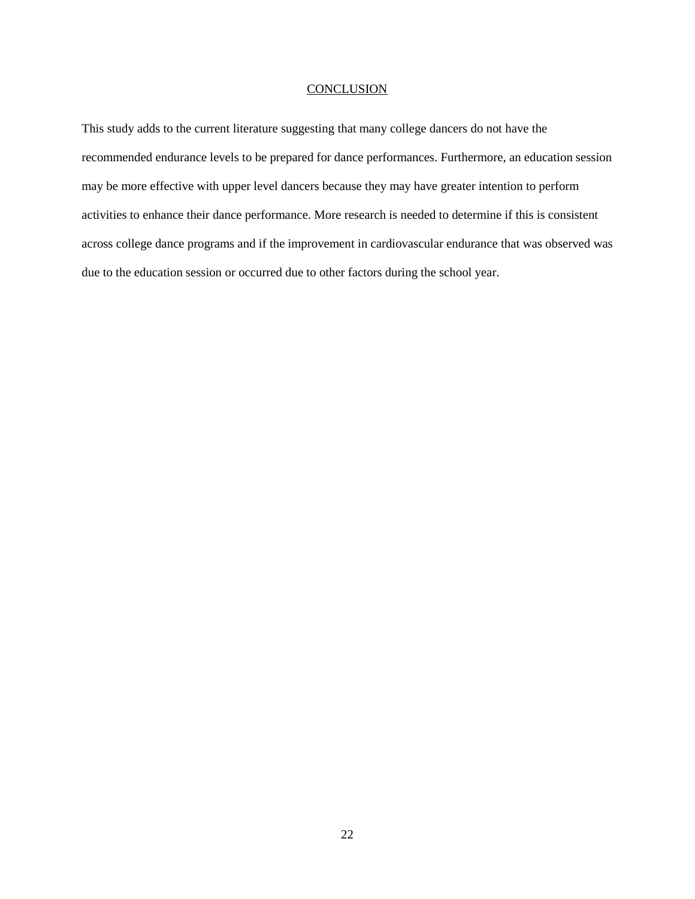## **CONCLUSION**

This study adds to the current literature suggesting that many college dancers do not have the recommended endurance levels to be prepared for dance performances. Furthermore, an education session may be more effective with upper level dancers because they may have greater intention to perform activities to enhance their dance performance. More research is needed to determine if this is consistent across college dance programs and if the improvement in cardiovascular endurance that was observed was due to the education session or occurred due to other factors during the school year.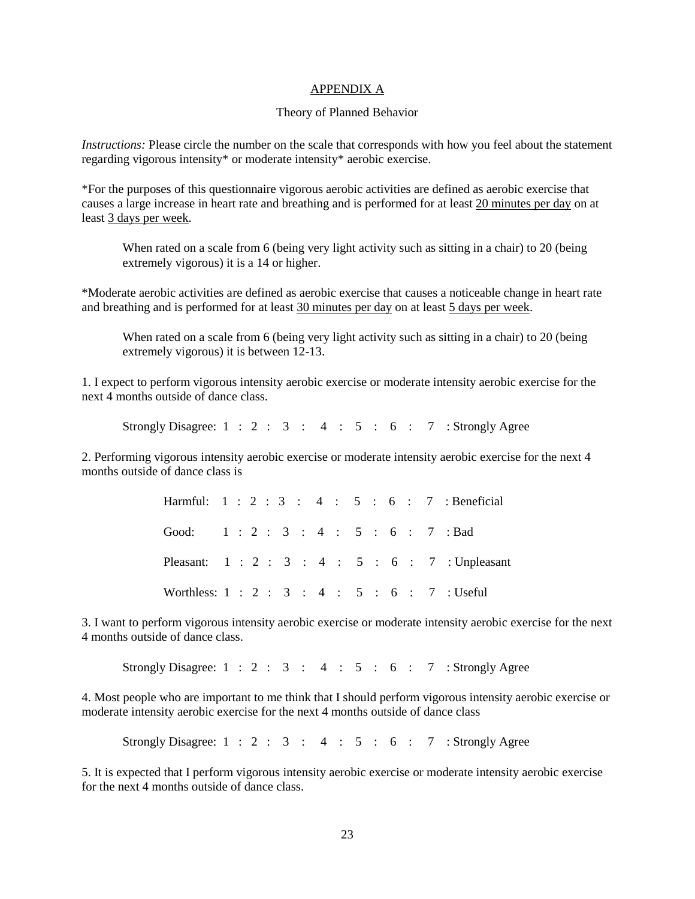## APPENDIX A

#### Theory of Planned Behavior

*Instructions:* Please circle the number on the scale that corresponds with how you feel about the statement regarding vigorous intensity\* or moderate intensity\* aerobic exercise.

\*For the purposes of this questionnaire vigorous aerobic activities are defined as aerobic exercise that causes a large increase in heart rate and breathing and is performed for at least 20 minutes per day on at least 3 days per week.

When rated on a scale from 6 (being very light activity such as sitting in a chair) to 20 (being extremely vigorous) it is a 14 or higher.

\*Moderate aerobic activities are defined as aerobic exercise that causes a noticeable change in heart rate and breathing and is performed for at least 30 minutes per day on at least 5 days per week.

When rated on a scale from 6 (being very light activity such as sitting in a chair) to 20 (being extremely vigorous) it is between 12-13.

1. I expect to perform vigorous intensity aerobic exercise or moderate intensity aerobic exercise for the next 4 months outside of dance class.

Strongly Disagree:  $1 : 2 : 3 : 4 : 5 : 6 : 7 :$  Strongly Agree

2. Performing vigorous intensity aerobic exercise or moderate intensity aerobic exercise for the next 4 months outside of dance class is

> Harmful: 1 : 2 : 3 : 4 : 5 : 6 : 7 : Beneficial Good: 1 : 2 : 3 : 4 : 5 : 6 : 7 : Bad Pleasant: 1 : 2 : 3 : 4 : 5 : 6 : 7 : Unpleasant Worthless: 1 : 2 : 3 : 4 : 5 : 6 : 7 : Useful

3. I want to perform vigorous intensity aerobic exercise or moderate intensity aerobic exercise for the next 4 months outside of dance class.

Strongly Disagree:  $1 : 2 : 3 : 4 : 5 : 6 : 7 :$  Strongly Agree

4. Most people who are important to me think that I should perform vigorous intensity aerobic exercise or moderate intensity aerobic exercise for the next 4 months outside of dance class

Strongly Disagree:  $1 : 2 : 3 : 4 : 5 : 6 : 7 :$  Strongly Agree

5. It is expected that I perform vigorous intensity aerobic exercise or moderate intensity aerobic exercise for the next 4 months outside of dance class.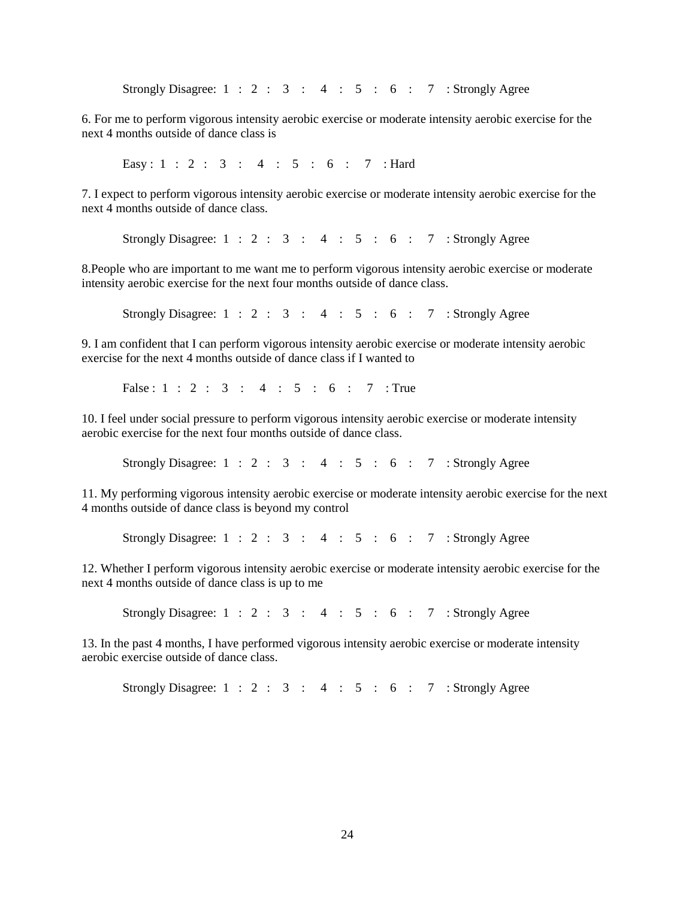Strongly Disagree:  $1 : 2 : 3 : 4 : 5 : 6 : 7 :$  Strongly Agree

6. For me to perform vigorous intensity aerobic exercise or moderate intensity aerobic exercise for the next 4 months outside of dance class is

Easy : 1 : 2 : 3 : 4 : 5 : 6 : 7 : Hard

7. I expect to perform vigorous intensity aerobic exercise or moderate intensity aerobic exercise for the next 4 months outside of dance class.

Strongly Disagree:  $1 : 2 : 3 : 4 : 5 : 6 : 7 :$  Strongly Agree

8.People who are important to me want me to perform vigorous intensity aerobic exercise or moderate intensity aerobic exercise for the next four months outside of dance class.

Strongly Disagree:  $1 : 2 : 3 : 4 : 5 : 6 : 7 :$  Strongly Agree

9. I am confident that I can perform vigorous intensity aerobic exercise or moderate intensity aerobic exercise for the next 4 months outside of dance class if I wanted to

False : 1 : 2 : 3 : 4 : 5 : 6 : 7 : True

10. I feel under social pressure to perform vigorous intensity aerobic exercise or moderate intensity aerobic exercise for the next four months outside of dance class.

Strongly Disagree:  $1 : 2 : 3 : 4 : 5 : 6 : 7 :$  Strongly Agree

11. My performing vigorous intensity aerobic exercise or moderate intensity aerobic exercise for the next 4 months outside of dance class is beyond my control

Strongly Disagree:  $1 : 2 : 3 : 4 : 5 : 6 : 7 :$  Strongly Agree

12. Whether I perform vigorous intensity aerobic exercise or moderate intensity aerobic exercise for the next 4 months outside of dance class is up to me

Strongly Disagree:  $1 : 2 : 3 : 4 : 5 : 6 : 7 :$  Strongly Agree

13. In the past 4 months, I have performed vigorous intensity aerobic exercise or moderate intensity aerobic exercise outside of dance class.

Strongly Disagree:  $1 : 2 : 3 : 4 : 5 : 6 : 7 :$  Strongly Agree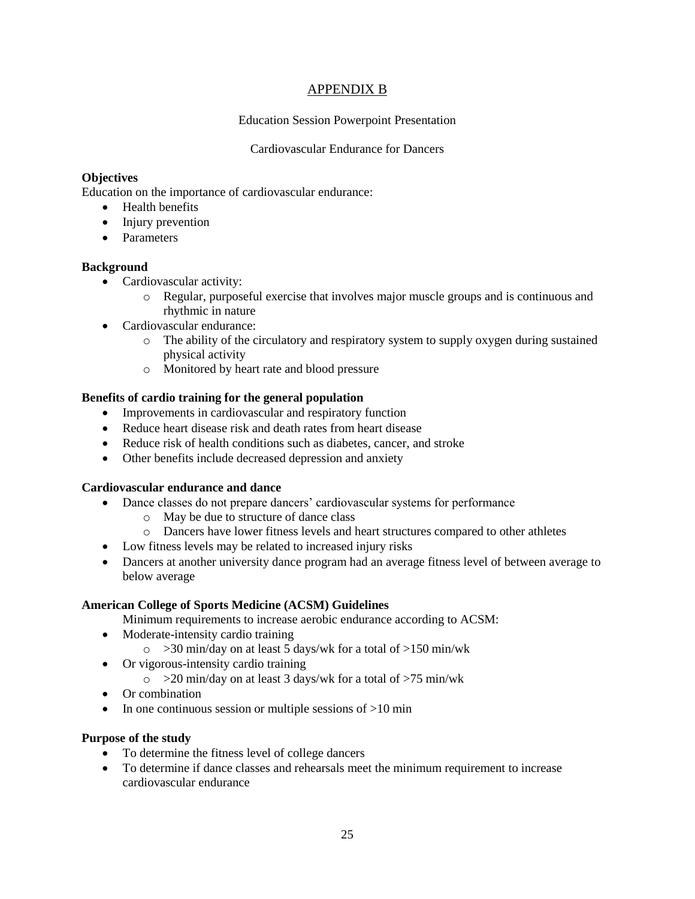## APPENDIX B

## Education Session Powerpoint Presentation

## Cardiovascular Endurance for Dancers

## **Objectives**

Education on the importance of cardiovascular endurance:

- Health benefits
- Injury prevention
- Parameters

## **Background**

- Cardiovascular activity:
	- o Regular, purposeful exercise that involves major muscle groups and is continuous and rhythmic in nature
- Cardiovascular endurance:
	- o The ability of the circulatory and respiratory system to supply oxygen during sustained physical activity
	- o Monitored by heart rate and blood pressure

## **Benefits of cardio training for the general population**

- Improvements in cardiovascular and respiratory function
- Reduce heart disease risk and death rates from heart disease
- Reduce risk of health conditions such as diabetes, cancer, and stroke
- Other benefits include decreased depression and anxiety

## **Cardiovascular endurance and dance**

- Dance classes do not prepare dancers' cardiovascular systems for performance
	- o May be due to structure of dance class
	- o Dancers have lower fitness levels and heart structures compared to other athletes
- Low fitness levels may be related to increased injury risks
- Dancers at another university dance program had an average fitness level of between average to below average

## **American College of Sports Medicine (ACSM) Guidelines**

Minimum requirements to increase aerobic endurance according to ACSM:

- Moderate-intensity cardio training
	- $\circ$  >30 min/day on at least 5 days/wk for a total of >150 min/wk
- Or vigorous-intensity cardio training
	- $\circ$  >20 min/day on at least 3 days/wk for a total of >75 min/wk
- Or combination
- In one continuous session or multiple sessions of  $>10$  min

## **Purpose of the study**

- To determine the fitness level of college dancers
- To determine if dance classes and rehearsals meet the minimum requirement to increase cardiovascular endurance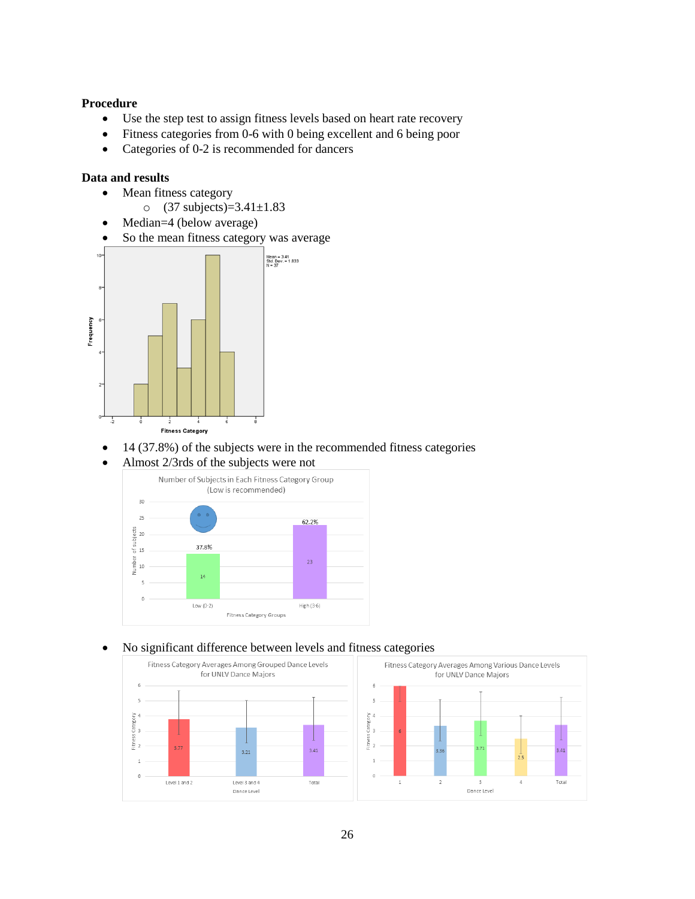## **Procedure**

- Use the step test to assign fitness levels based on heart rate recovery
- Fitness categories from 0-6 with 0 being excellent and 6 being poor
- Categories of 0-2 is recommended for dancers

## **Data and results**

- Mean fitness category
	- o (37 subjects)=3.41±1.83
- Median=4 (below average)
- So the mean fitness category was average



- 14 (37.8%) of the subjects were in the recommended fitness categories
- Almost 2/3rds of the subjects were not



## No significant difference between levels and fitness categories

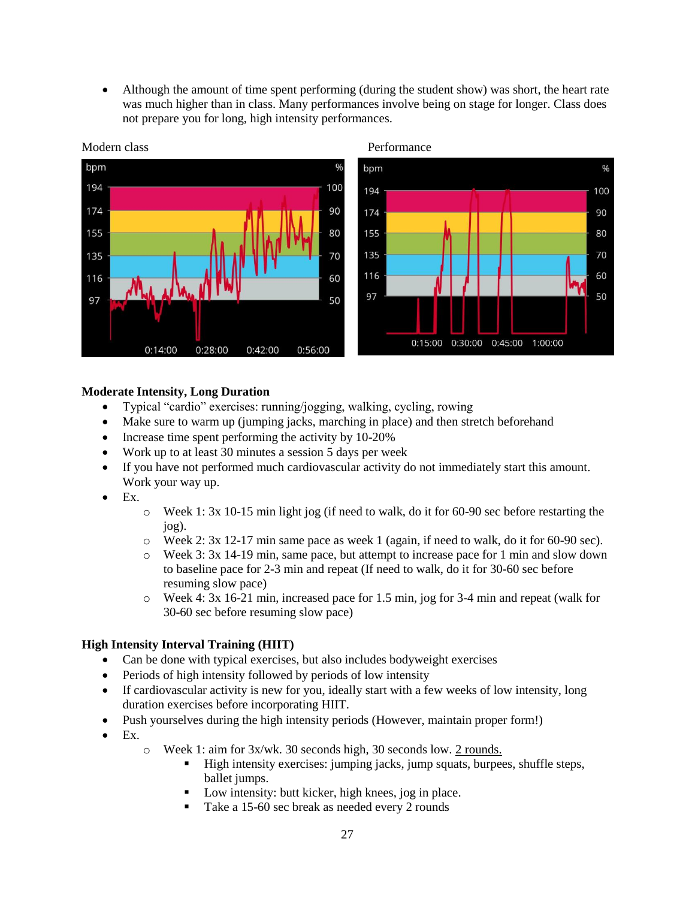Although the amount of time spent performing (during the student show) was short, the heart rate was much higher than in class. Many performances involve being on stage for longer. Class does not prepare you for long, high intensity performances.



#### Modern class Performance

## **Moderate Intensity, Long Duration**

- Typical "cardio" exercises: running/jogging, walking, cycling, rowing
- Make sure to warm up (jumping jacks, marching in place) and then stretch beforehand
- Increase time spent performing the activity by  $10-20\%$
- Work up to at least 30 minutes a session 5 days per week
- If you have not performed much cardiovascular activity do not immediately start this amount. Work your way up.
- $\bullet$  Ex.
- o Week 1: 3x 10-15 min light jog (if need to walk, do it for 60-90 sec before restarting the jog).
- $\circ$  Week 2: 3x 12-17 min same pace as week 1 (again, if need to walk, do it for 60-90 sec).
- o Week 3: 3x 14-19 min, same pace, but attempt to increase pace for 1 min and slow down to baseline pace for 2-3 min and repeat (If need to walk, do it for 30-60 sec before resuming slow pace)
- o Week 4: 3x 16-21 min, increased pace for 1.5 min, jog for 3-4 min and repeat (walk for 30-60 sec before resuming slow pace)

## **High Intensity Interval Training (HIIT)**

- Can be done with typical exercises, but also includes bodyweight exercises
- Periods of high intensity followed by periods of low intensity
- If cardiovascular activity is new for you, ideally start with a few weeks of low intensity, long duration exercises before incorporating HIIT.
- Push yourselves during the high intensity periods (However, maintain proper form!)
- Ex.
	- o Week 1: aim for 3x/wk. 30 seconds high, 30 seconds low. 2 rounds.
		- High intensity exercises: jumping jacks, jump squats, burpees, shuffle steps, ballet jumps.
		- Low intensity: butt kicker, high knees, jog in place.
		- Take a 15-60 sec break as needed every 2 rounds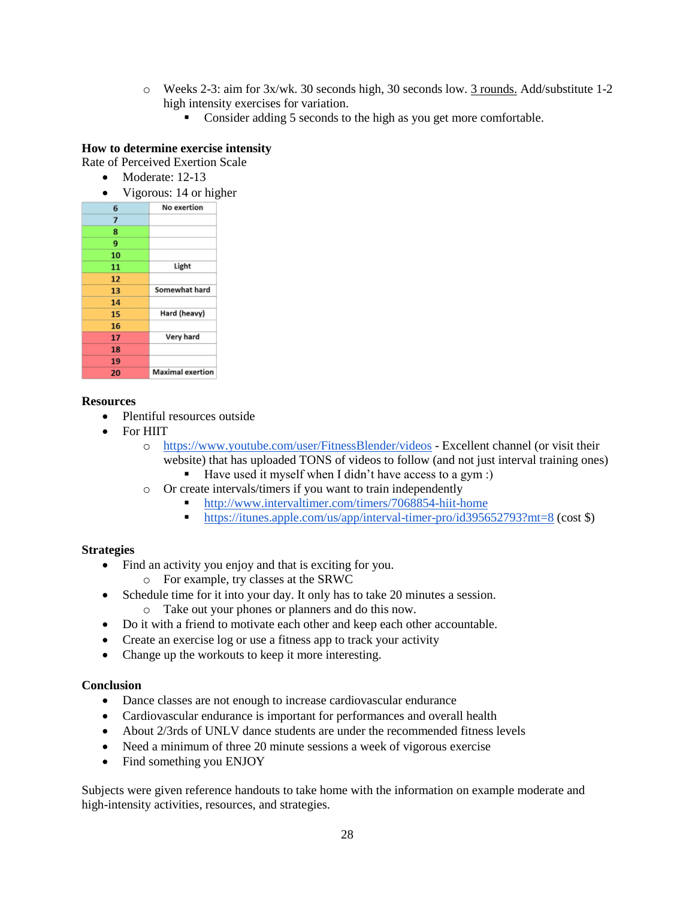- o Weeks 2-3: aim for 3x/wk. 30 seconds high, 30 seconds low. 3 rounds. Add/substitute 1-2 high intensity exercises for variation.
	- Consider adding 5 seconds to the high as you get more comfortable.

## **How to determine exercise intensity**

Rate of Perceived Exertion Scale

- Moderate: 12-13
- Vigorous: 14 or higher

| 6  | No exertion             |
|----|-------------------------|
| 7  |                         |
| 8  |                         |
| 9  |                         |
| 10 |                         |
| 11 | Light                   |
| 12 |                         |
| 13 | Somewhat hard           |
| 14 |                         |
| 15 | Hard (heavy)            |
| 16 |                         |
| 17 | Very hard               |
| 18 |                         |
| 19 |                         |
| 20 | <b>Maximal</b> exertion |

## **Resources**

- Plentiful resources outside
- For HIIT
	- o https://www.youtube.com/user/FitnessBlender/videos Excellent channel (or visit their website) that has uploaded TONS of videos to follow (and not just interval training ones)
		- Have used it myself when I didn't have access to a gym :)
	- o Or create intervals/timers if you want to train independently
		- http://www.intervaltimer.com/timers/7068854-hiit-home
		- https://itunes.apple.com/us/app/interval-timer-pro/id395652793?mt=8 (cost \$)

## **Strategies**

- Find an activity you enjoy and that is exciting for you.
	- o For example, try classes at the SRWC
- Schedule time for it into your day. It only has to take 20 minutes a session.
	- o Take out your phones or planners and do this now.
- Do it with a friend to motivate each other and keep each other accountable.
- Create an exercise log or use a fitness app to track your activity
- Change up the workouts to keep it more interesting.

## **Conclusion**

- Dance classes are not enough to increase cardiovascular endurance
- Cardiovascular endurance is important for performances and overall health
- About 2/3rds of UNLV dance students are under the recommended fitness levels
- Need a minimum of three 20 minute sessions a week of vigorous exercise
- Find something you ENJOY

Subjects were given reference handouts to take home with the information on example moderate and high-intensity activities, resources, and strategies.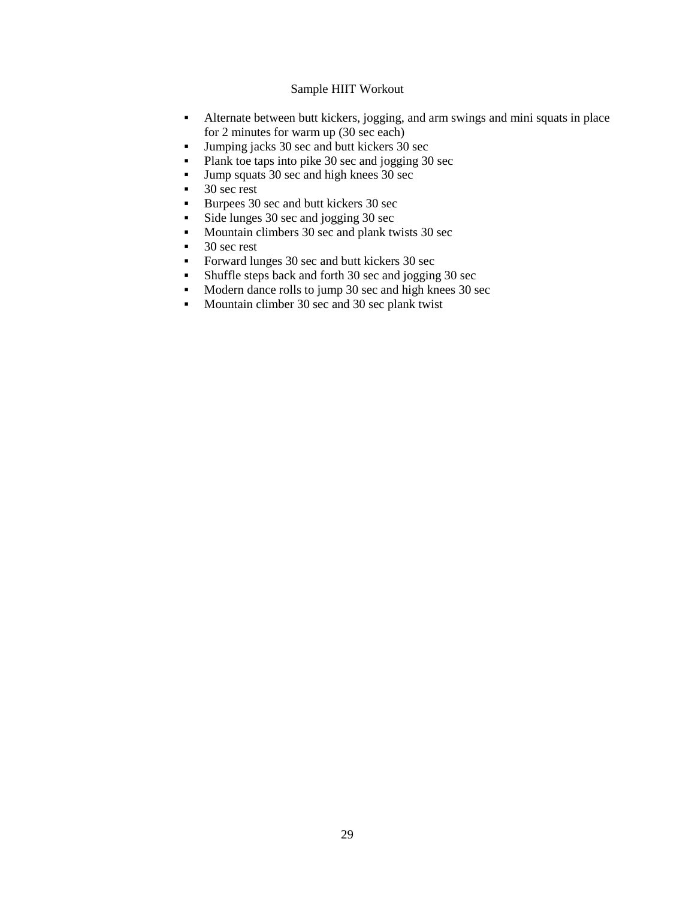## Sample HIIT Workout

- Alternate between butt kickers, jogging, and arm swings and mini squats in place for 2 minutes for warm up (30 sec each)
- Jumping jacks 30 sec and butt kickers 30 sec
- Plank toe taps into pike 30 sec and jogging 30 sec
- Jump squats 30 sec and high knees 30 sec
- $\blacksquare$  30 sec rest
- Burpees 30 sec and butt kickers 30 sec
- Side lunges 30 sec and jogging 30 sec
- Mountain climbers 30 sec and plank twists 30 sec
- $\blacksquare$  30 sec rest
- Forward lunges 30 sec and butt kickers 30 sec
- Shuffle steps back and forth 30 sec and jogging 30 sec
- Modern dance rolls to jump 30 sec and high knees 30 sec
- Mountain climber 30 sec and 30 sec plank twist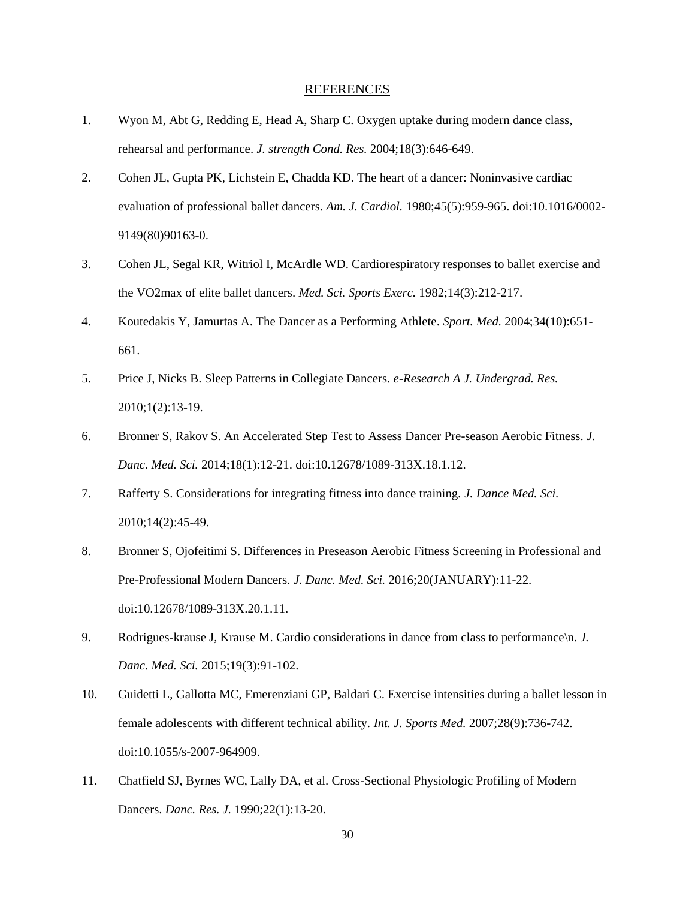## **REFERENCES**

- 1. Wyon M, Abt G, Redding E, Head A, Sharp C. Oxygen uptake during modern dance class, rehearsal and performance. *J. strength Cond. Res.* 2004;18(3):646-649.
- 2. Cohen JL, Gupta PK, Lichstein E, Chadda KD. The heart of a dancer: Noninvasive cardiac evaluation of professional ballet dancers. *Am. J. Cardiol.* 1980;45(5):959-965. doi:10.1016/0002- 9149(80)90163-0.
- 3. Cohen JL, Segal KR, Witriol I, McArdle WD. Cardiorespiratory responses to ballet exercise and the VO2max of elite ballet dancers. *Med. Sci. Sports Exerc.* 1982;14(3):212-217.
- 4. Koutedakis Y, Jamurtas A. The Dancer as a Performing Athlete. *Sport. Med.* 2004;34(10):651- 661.
- 5. Price J, Nicks B. Sleep Patterns in Collegiate Dancers. *e-Research A J. Undergrad. Res.* 2010;1(2):13-19.
- 6. Bronner S, Rakov S. An Accelerated Step Test to Assess Dancer Pre-season Aerobic Fitness. *J. Danc. Med. Sci.* 2014;18(1):12-21. doi:10.12678/1089-313X.18.1.12.
- 7. Rafferty S. Considerations for integrating fitness into dance training. *J. Dance Med. Sci.* 2010;14(2):45-49.
- 8. Bronner S, Ojofeitimi S. Differences in Preseason Aerobic Fitness Screening in Professional and Pre-Professional Modern Dancers. *J. Danc. Med. Sci.* 2016;20(JANUARY):11-22. doi:10.12678/1089-313X.20.1.11.
- 9. Rodrigues-krause J, Krause M. Cardio considerations in dance from class to performance\n. *J. Danc. Med. Sci.* 2015;19(3):91-102.
- 10. Guidetti L, Gallotta MC, Emerenziani GP, Baldari C. Exercise intensities during a ballet lesson in female adolescents with different technical ability. *Int. J. Sports Med.* 2007;28(9):736-742. doi:10.1055/s-2007-964909.
- 11. Chatfield SJ, Byrnes WC, Lally DA, et al. Cross-Sectional Physiologic Profiling of Modern Dancers. *Danc. Res. J.* 1990;22(1):13-20.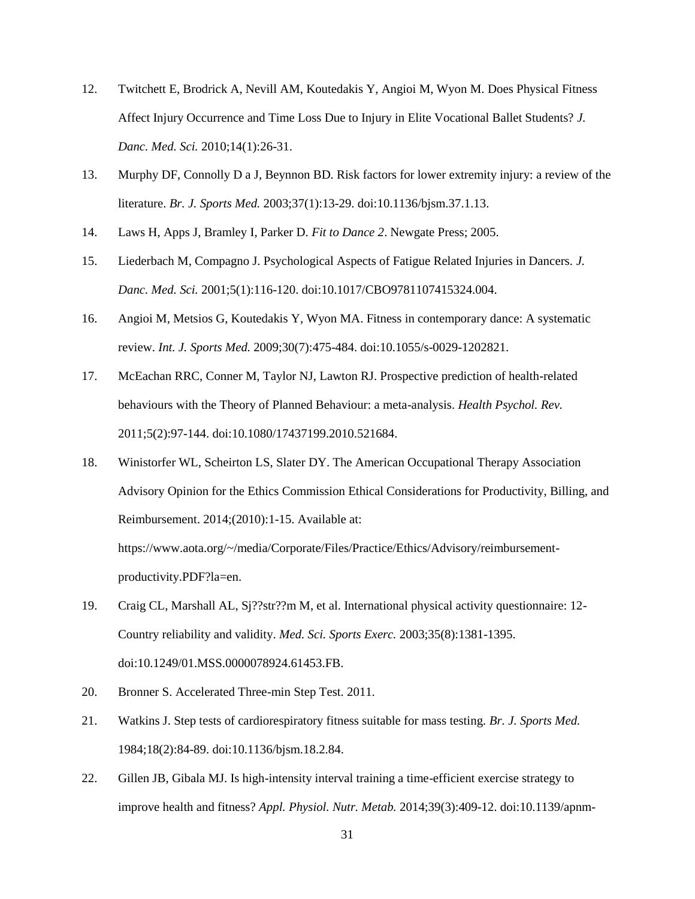- 12. Twitchett E, Brodrick A, Nevill AM, Koutedakis Y, Angioi M, Wyon M. Does Physical Fitness Affect Injury Occurrence and Time Loss Due to Injury in Elite Vocational Ballet Students? *J. Danc. Med. Sci.* 2010;14(1):26-31.
- 13. Murphy DF, Connolly D a J, Beynnon BD. Risk factors for lower extremity injury: a review of the literature. *Br. J. Sports Med.* 2003;37(1):13-29. doi:10.1136/bjsm.37.1.13.
- 14. Laws H, Apps J, Bramley I, Parker D. *Fit to Dance 2*. Newgate Press; 2005.
- 15. Liederbach M, Compagno J. Psychological Aspects of Fatigue Related Injuries in Dancers. *J. Danc. Med. Sci.* 2001;5(1):116-120. doi:10.1017/CBO9781107415324.004.
- 16. Angioi M, Metsios G, Koutedakis Y, Wyon MA. Fitness in contemporary dance: A systematic review. *Int. J. Sports Med.* 2009;30(7):475-484. doi:10.1055/s-0029-1202821.
- 17. McEachan RRC, Conner M, Taylor NJ, Lawton RJ. Prospective prediction of health-related behaviours with the Theory of Planned Behaviour: a meta-analysis. *Health Psychol. Rev.* 2011;5(2):97-144. doi:10.1080/17437199.2010.521684.
- 18. Winistorfer WL, Scheirton LS, Slater DY. The American Occupational Therapy Association Advisory Opinion for the Ethics Commission Ethical Considerations for Productivity, Billing, and Reimbursement. 2014;(2010):1-15. Available at:

https://www.aota.org/~/media/Corporate/Files/Practice/Ethics/Advisory/reimbursementproductivity.PDF?la=en.

- 19. Craig CL, Marshall AL, Sj??str??m M, et al. International physical activity questionnaire: 12- Country reliability and validity. *Med. Sci. Sports Exerc.* 2003;35(8):1381-1395. doi:10.1249/01.MSS.0000078924.61453.FB.
- 20. Bronner S. Accelerated Three-min Step Test. 2011.
- 21. Watkins J. Step tests of cardiorespiratory fitness suitable for mass testing. *Br. J. Sports Med.* 1984;18(2):84-89. doi:10.1136/bjsm.18.2.84.
- 22. Gillen JB, Gibala MJ. Is high-intensity interval training a time-efficient exercise strategy to improve health and fitness? *Appl. Physiol. Nutr. Metab.* 2014;39(3):409-12. doi:10.1139/apnm-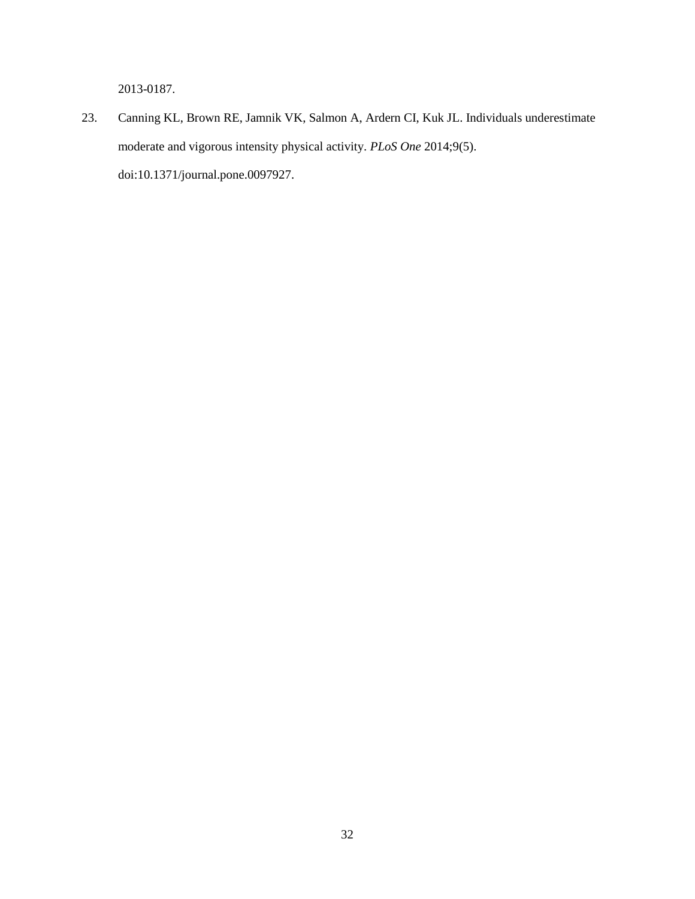2013-0187.

23. Canning KL, Brown RE, Jamnik VK, Salmon A, Ardern CI, Kuk JL. Individuals underestimate moderate and vigorous intensity physical activity. *PLoS One* 2014;9(5). doi:10.1371/journal.pone.0097927.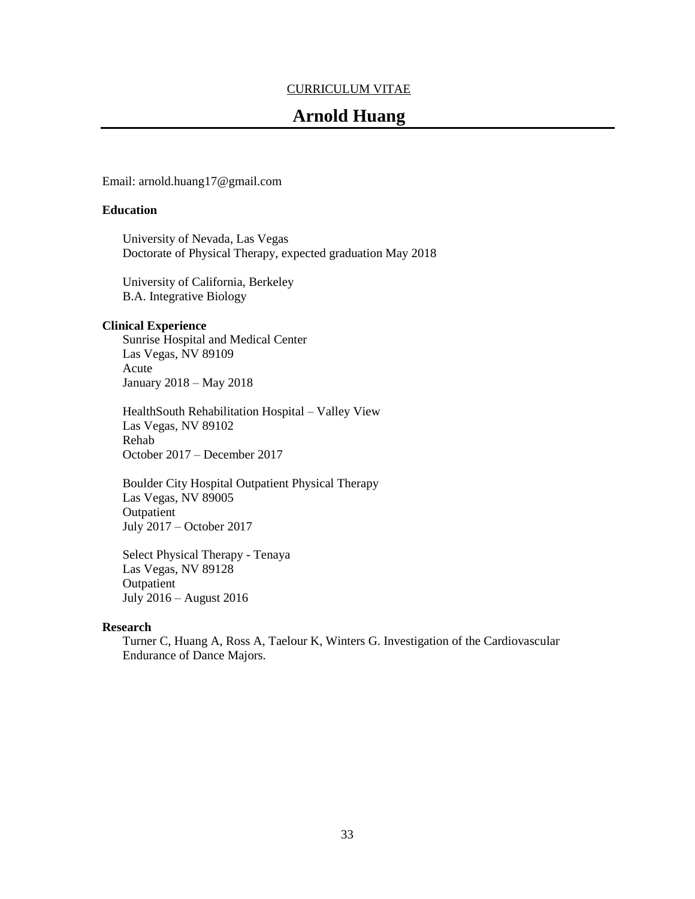## CURRICULUM VITAE

# **Arnold Huang**

Email: arnold.huang17@gmail.com

#### **Education**

University of Nevada, Las Vegas Doctorate of Physical Therapy, expected graduation May 2018

University of California, Berkeley B.A. Integrative Biology

## **Clinical Experience**

Sunrise Hospital and Medical Center Las Vegas, NV 89109 Acute January 2018 – May 2018

HealthSouth Rehabilitation Hospital – Valley View Las Vegas, NV 89102 Rehab October 2017 – December 2017

Boulder City Hospital Outpatient Physical Therapy Las Vegas, NV 89005 **Outpatient** July 2017 – October 2017

Select Physical Therapy - Tenaya Las Vegas, NV 89128 **Outpatient** July 2016 – August 2016

#### **Research**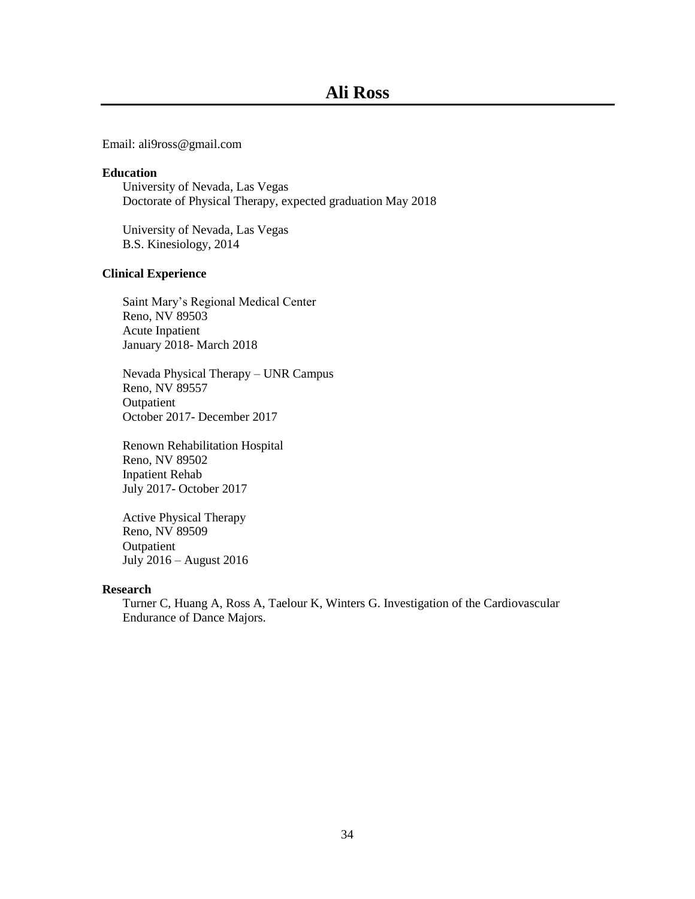Email: ali9ross@gmail.com

#### **Education**

University of Nevada, Las Vegas Doctorate of Physical Therapy, expected graduation May 2018

University of Nevada, Las Vegas B.S. Kinesiology, 2014

#### **Clinical Experience**

Saint Mary's Regional Medical Center Reno, NV 89503 Acute Inpatient January 2018- March 2018

Nevada Physical Therapy – UNR Campus Reno, NV 89557 Outpatient October 2017- December 2017

Renown Rehabilitation Hospital Reno, NV 89502 Inpatient Rehab July 2017- October 2017

Active Physical Therapy Reno, NV 89509 **Outpatient** July 2016 – August 2016

## **Research**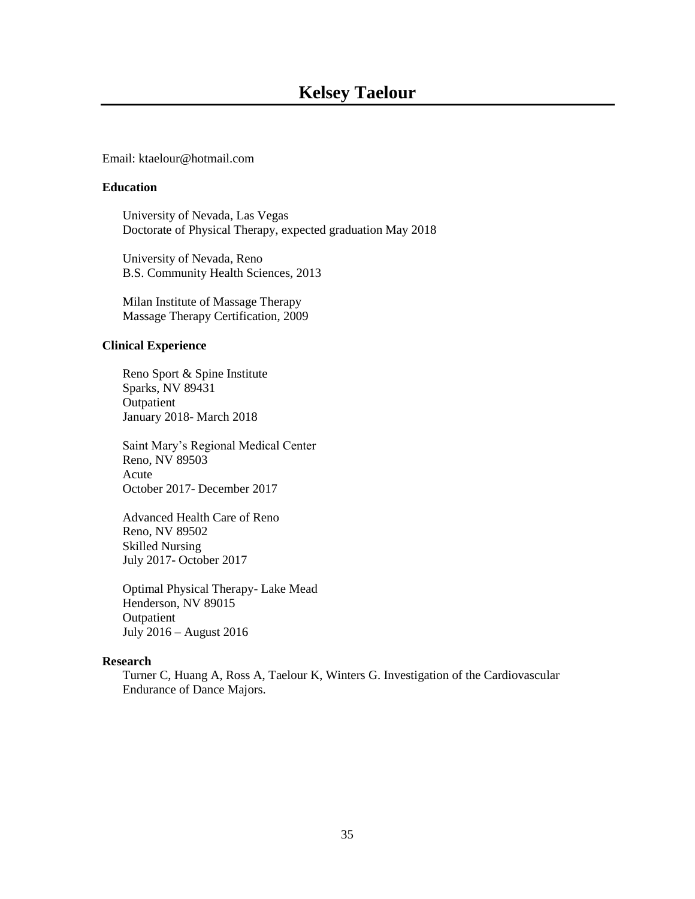#### Email: ktaelour@hotmail.com

## **Education**

University of Nevada, Las Vegas Doctorate of Physical Therapy, expected graduation May 2018

University of Nevada, Reno B.S. Community Health Sciences, 2013

Milan Institute of Massage Therapy Massage Therapy Certification, 2009

## **Clinical Experience**

Reno Sport & Spine Institute Sparks, NV 89431 Outpatient January 2018- March 2018

Saint Mary's Regional Medical Center Reno, NV 89503 Acute October 2017- December 2017

Advanced Health Care of Reno Reno, NV 89502 Skilled Nursing July 2017- October 2017

Optimal Physical Therapy- Lake Mead Henderson, NV 89015 Outpatient July 2016 – August 2016

## **Research**